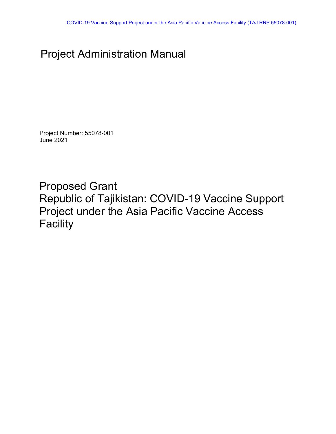# Project Administration Manual

Project Number: 55078-001 June 2021

Proposed Grant Republic of Tajikistan: COVID-19 Vaccine Support Project under the Asia Pacific Vaccine Access **Facility**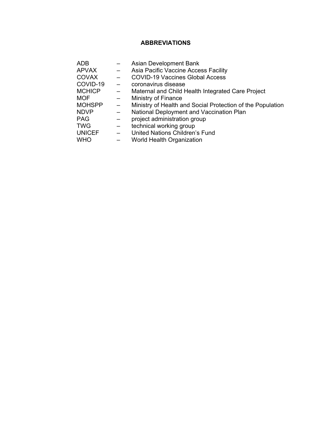### **ABBREVIATIONS**

<span id="page-1-0"></span>

| ADB           |                          | Asian Development Bank                                     |
|---------------|--------------------------|------------------------------------------------------------|
| <b>APVAX</b>  | $\qquad \qquad -$        | Asia Pacific Vaccine Access Facility                       |
| <b>COVAX</b>  |                          | <b>COVID-19 Vaccines Global Access</b>                     |
| COVID-19      |                          | coronavirus disease                                        |
| <b>MCHICP</b> |                          | Maternal and Child Health Integrated Care Project          |
| <b>MOF</b>    |                          | Ministry of Finance                                        |
| <b>MOHSPP</b> | $\qquad \qquad -$        | Ministry of Health and Social Protection of the Population |
| <b>NDVP</b>   |                          | National Deployment and Vaccination Plan                   |
| <b>PAG</b>    |                          | project administration group                               |
| <b>TWG</b>    | -                        | technical working group                                    |
| <b>UNICEF</b> | $\overline{\phantom{0}}$ | United Nations Children's Fund                             |
| <b>WHO</b>    |                          | <b>World Health Organization</b>                           |
|               |                          |                                                            |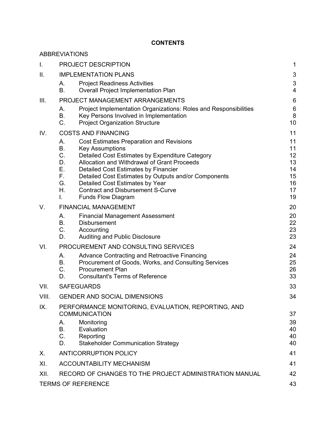### **CONTENTS**

|       | <b>ABBREVIATIONS</b>                                                                                                                                                                                                                                                                                                                                                                                                                           |                                                    |
|-------|------------------------------------------------------------------------------------------------------------------------------------------------------------------------------------------------------------------------------------------------------------------------------------------------------------------------------------------------------------------------------------------------------------------------------------------------|----------------------------------------------------|
| L.    | PROJECT DESCRIPTION                                                                                                                                                                                                                                                                                                                                                                                                                            | 1                                                  |
| II.   | <b>IMPLEMENTATION PLANS</b>                                                                                                                                                                                                                                                                                                                                                                                                                    | 3                                                  |
|       | <b>Project Readiness Activities</b><br>А.<br><b>B.</b><br><b>Overall Project Implementation Plan</b>                                                                                                                                                                                                                                                                                                                                           | 3<br>4                                             |
| Ш.    | PROJECT MANAGEMENT ARRANGEMENTS                                                                                                                                                                                                                                                                                                                                                                                                                | $6\phantom{1}6$                                    |
|       | Project Implementation Organizations: Roles and Responsibilities<br>А.<br>В.<br>Key Persons Involved in Implementation<br>$C_{\cdot}$<br><b>Project Organization Structure</b>                                                                                                                                                                                                                                                                 | 6<br>8<br>10                                       |
| IV.   | <b>COSTS AND FINANCING</b>                                                                                                                                                                                                                                                                                                                                                                                                                     | 11                                                 |
|       | <b>Cost Estimates Preparation and Revisions</b><br>А.<br>В.<br><b>Key Assumptions</b><br>C.<br>Detailed Cost Estimates by Expenditure Category<br>Allocation and Withdrawal of Grant Proceeds<br>D.<br>Е.<br>Detailed Cost Estimates by Financier<br>F.,<br>Detailed Cost Estimates by Outputs and/or Components<br>G.<br>Detailed Cost Estimates by Year<br>Η.<br><b>Contract and Disbursement S-Curve</b><br>L.<br><b>Funds Flow Diagram</b> | 11<br>11<br>12<br>13<br>14<br>15<br>16<br>17<br>19 |
| V.    | <b>FINANCIAL MANAGEMENT</b>                                                                                                                                                                                                                                                                                                                                                                                                                    | 20                                                 |
|       | А.<br><b>Financial Management Assessment</b><br>В.<br><b>Disbursement</b><br>$C_{-}$<br>Accounting<br>Auditing and Public Disclosure<br>D.                                                                                                                                                                                                                                                                                                     | 20<br>22<br>23<br>23                               |
| VI.   | PROCUREMENT AND CONSULTING SERVICES                                                                                                                                                                                                                                                                                                                                                                                                            | 24                                                 |
|       | Advance Contracting and Retroactive Financing<br>А.<br>В.<br>Procurement of Goods, Works, and Consulting Services<br>$C_{-}$<br><b>Procurement Plan</b><br><b>Consultant's Terms of Reference</b><br>D.                                                                                                                                                                                                                                        | 24<br>25<br>26<br>33                               |
| VII.  | <b>SAFEGUARDS</b>                                                                                                                                                                                                                                                                                                                                                                                                                              | 33                                                 |
| VIII. | <b>GENDER AND SOCIAL DIMENSIONS</b>                                                                                                                                                                                                                                                                                                                                                                                                            | 34                                                 |
| IX.   | PERFORMANCE MONITORING, EVALUATION, REPORTING, AND<br><b>COMMUNICATION</b><br>Monitoring<br>А.<br>Evaluation<br>В.<br>C.<br>Reporting<br><b>Stakeholder Communication Strategy</b><br>D.                                                                                                                                                                                                                                                       | 37<br>39<br>40<br>40<br>40                         |
| Х.    | <b>ANTICORRUPTION POLICY</b>                                                                                                                                                                                                                                                                                                                                                                                                                   | 41                                                 |
| XI.   | <b>ACCOUNTABILITY MECHANISM</b>                                                                                                                                                                                                                                                                                                                                                                                                                | 41                                                 |
| XII.  | RECORD OF CHANGES TO THE PROJECT ADMINISTRATION MANUAL                                                                                                                                                                                                                                                                                                                                                                                         | 42                                                 |
|       | <b>TERMS OF REFERENCE</b>                                                                                                                                                                                                                                                                                                                                                                                                                      | 43                                                 |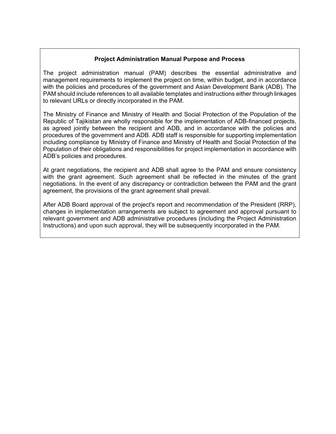#### **Project Administration Manual Purpose and Process**

The project administration manual (PAM) describes the essential administrative and management requirements to implement the project on time, within budget, and in accordance with the policies and procedures of the government and Asian Development Bank (ADB). The PAM should include references to all available templates and instructions either through linkages to relevant URLs or directly incorporated in the PAM.

The Ministry of Finance and Ministry of Health and Social Protection of the Population of the Republic of Tajikistan are wholly responsible for the implementation of ADB-financed projects, as agreed jointly between the recipient and ADB, and in accordance with the policies and procedures of the government and ADB. ADB staff is responsible for supporting implementation including compliance by Ministry of Finance and Ministry of Health and Social Protection of the Population of their obligations and responsibilities for project implementation in accordance with ADB's policies and procedures.

At grant negotiations, the recipient and ADB shall agree to the PAM and ensure consistency with the grant agreement. Such agreement shall be reflected in the minutes of the grant negotiations. In the event of any discrepancy or contradiction between the PAM and the grant agreement, the provisions of the grant agreement shall prevail.

After ADB Board approval of the project's report and recommendation of the President (RRP), changes in implementation arrangements are subject to agreement and approval pursuant to relevant government and ADB administrative procedures (including the Project Administration Instructions) and upon such approval, they will be subsequently incorporated in the PAM.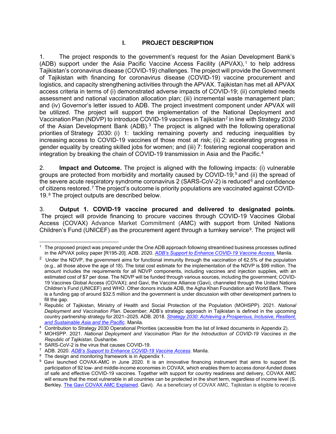#### **I. PROJECT DESCRIPTION**

<span id="page-6-0"></span>1. The project responds to the government's request for the Asian Development Bank's (ADB) support under the Asia Pacific Vaccine Access Facility (APVAX),<sup>[1](#page-6-1)</sup> to help address Tajikistan's coronavirus disease (COVID-19) challenges. The project will provide the Government of Tajikistan with financing for coronavirus disease (COVID-19) vaccine procurement and logistics, and capacity strengthening activities through the APVAX. Tajikistan has met all APVAX access criteria in terms of (i) demonstrated adverse impacts of COVID-19; (ii) completed needs assessment and national vaccination allocation plan; (iii) incremental waste management plan; and (iv) Governor's letter issued to ADB. The project investment component under APVAX will be utilized. The project will support the implementation of the National Deployment and Vaccination Plan (NDVP) to introduce COVID-19 vaccines in Tajikistan<sup>[2](#page-6-2)</sup> in line with Strategy 2030 of the Asian Development Bank (ADB).<sup>[3](#page-6-3)</sup> The project is aligned with the following operational priorities of Strategy 2030: (i) 1: tackling remaining poverty and reducing inequalities by increasing access to COVID-19 vaccines of those most at risk; (ii) 2: accelerating progress in gender equality by creating skilled jobs for women; and (iii) 7: fostering regional cooperation and integration by breaking the chain of COVID-19 transmission in Asia and the Pacific.[4](#page-6-4)

<span id="page-6-10"></span>2. **Impact and Outcome.** The project is aligned with the following impacts: (i) vulnerable groups are protected from morbidity and mortality caused by COVID-19; [5](#page-6-5) and (ii) the spread of the severe acute respiratory syndrome coronavirus 2 (SARS-CoV-2) is reduced<sup>[6](#page-6-6)</sup> and confidence of citizens restored. [7](#page-6-7) The project's outcome is priority populations are vaccinated against COVID-19.<sup>[8](#page-6-8)</sup> The project outputs are described below.

3. **Output 1. COVID-19 vaccine procured and delivered to designated points.**  The project will provide financing to procure vaccines through COVID-19 Vaccines Global Access (COVAX) Advance Market Commitment (AMC) with support from United Nations Children's Fund (UNICEF) as the procurement agent through a turnkey service<sup>9</sup>. The project will

<span id="page-6-1"></span> $1$  The proposed project was prepared under the One ADB approach following streamlined business processes outlined in the APVAX policy paper [R195-20]. ADB. 2020. *[ADB's Support to Enhance COVID-19 Vaccine Access.](https://www.adb.org/documents/adb-support-enhance-covid-19-vaccine-access)* Manila.

<span id="page-6-2"></span><sup>&</sup>lt;sup>2</sup> Under the NDVP, the government aims for functional immunity through the vaccination of 62.5% of the population (e.g., all those above the age of 18). The total cost estimate for the implementation of the NDVP is \$99 million. The amount includes the requirements for all NDVP components, including vaccines and injection supplies, with an estimated cost of \$7 per dose. The NDVP will be funded through various sources, including the government; COVID-19 Vaccines Global Access (COVAX); and Gavi, the Vaccine Alliance (Gavi), channeled through the United Nations Children's Fund (UNICEF) and WHO. Other donors include ADB, the Agha Khan Foundation and World Bank. There is a funding gap of around \$32.5 million and the government is under discussion with other development partners to fill the gap.

<span id="page-6-3"></span><sup>3</sup> Republic of Tajikistan, Ministry of Health and Social Protection of the Population (MOHSPP). 2021. *National Deployment and Vaccination Plan*. December; ADB's strategic approach in Tajikistan is defined in the upcoming country partnership strategy for 2021–2025. ADB. 2018. *[Strategy 2030: Achieving a Prosperous, Inclusive, Resilient,](https://www.adb.org/sites/default/files/institutional-document/435391/strategy-2030-main-document.pdf)  [and Sustainable Asia and the Pacific](https://www.adb.org/sites/default/files/institutional-document/435391/strategy-2030-main-document.pdf)*. Manila.

<span id="page-6-4"></span><sup>&</sup>lt;sup>4</sup> Contribution to Strategy 2030 Operational Priorities (accessible from the list of linked documents in Appendix 2).

<span id="page-6-5"></span><sup>5</sup> MOHSPP. 2021. *National Deployment and Vaccination Plan for the Introduction of COVID-19 Vaccines in the Republic of Tajikistan*. Dushanbe.

<span id="page-6-6"></span><sup>6</sup> SARS-CoV-2 is the virus that causes COVID-19.

<span id="page-6-7"></span><sup>7</sup> ADB. 2020. *[ADB's Support to Enhance COVID-19 Vaccine Access](https://www.adb.org/documents/adb-support-enhance-covid-19-vaccine-access)*. Manila.

<span id="page-6-8"></span><sup>&</sup>lt;sup>8</sup> The design and monitoring framework is in Appendix 1.<br><sup>9</sup> Gavi Jaunched, COVAX-AMC in June 2020, It is an

<span id="page-6-9"></span>Gavi launched COVAX-AMC in June 2020. It is an innovative financing instrument that aims to support the participation of 92 low- and middle-income economies in COVAX, which enables them to access donor-funded doses of safe and effective COVID-19 vaccines. Together with support for country readiness and delivery, COVAX AMC will ensure that the most vulnerable in all countries can be protected in the short term, regardless of income level (S. Berkley. [The Gavi COVAX AMC Explained.](https://www.gavi.org/vaccineswork/gavi-covax-amc-explained) Gavi). As a beneficiary of COVAX AMC, Tajikistan is eligible to receive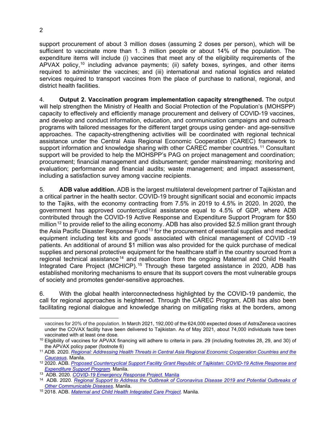support procurement of about 3 million doses (assuming 2 doses per person), which will be sufficient to vaccinate more than 1. 3 million people or about 14% of the population. The expenditure items will include (i) vaccines that meet any of the eligibility requirements of the APVAX policy,<sup>[10](#page-7-0)</sup> including advance payments; (ii) safety boxes, syringes, and other items required to administer the vaccines; and (iii) international and national logistics and related services required to transport vaccines from the place of purchase to national, regional, and district health facilities.

4. **Output 2. Vaccination program implementation capacity strengthened.** The output will help strengthen the Ministry of Health and Social Protection of the Population's (MOHSPP) capacity to effectively and efficiently manage procurement and delivery of COVID-19 vaccines, and develop and conduct information, education, and communication campaigns and outreach programs with tailored messages for the different target groups using gender- and age-sensitive approaches. The capacity-strengthening activities will be coordinated with regional technical assistance under the Central Asia Regional Economic Cooperation (CAREC) framework to support information and knowledge sharing with other CAREC member countries.<sup>[11](#page-7-1)</sup> Consultant support will be provided to help the MOHSPP's PAG on project management and coordination; procurement; financial management and disbursement; gender mainstreaming; monitoring and evaluation; performance and financial audits; waste management; and impact assessment, including a satisfaction survey among vaccine recipients.

5. **ADB value addition.** ADB is the largest multilateral development partner of Tajikistan and a critical partner in the health sector. COVID-19 brought significant social and economic impacts to the Tajiks, with the economy contracting from 7.5% in 2019 to 4.5% in 2020. In 2020, the government has approved countercyclical assistance equal to 4.5% of GDP, whe[r](#page-39-1)e ADB contributed through the COVID-19 Active Response and Expenditure Support Program for \$50 million<sup>[12](#page-7-2)</sup> to provide relief to the ailing economy. ADB has also provided \$2.5 million grant through the Asia Pacific Disaster Response Fund<sup>[13](#page-7-3)</sup> for the procurement of essential supplies and medical equipment including test kits and goods associated with clinical management of COVID -19 patients. An additional of around \$1 million was also provided for the quick purchase of medical supplies and personal protective equipment for the healthcare staff in the country sourced from a regional technical assistance<sup>[14](#page-7-4)</sup> and reallocation from the ongoing Maternal and Child Health Integrated Care Project (MCHICP). [15](#page-7-5) Through these targeted assistance in 2020, ADB has established monitoring mechanisms to ensure that its support covers the most vulnerable groups of society and promotes gender-sensitive approaches.

6. With the global health interconnectedness highlighted by the COVID-19 pandemic, the call for regional approaches is heightened. Through the CAREC Program, ADB has also been facilitating regional dialogue and knowledge sharing on mitigating risks at the borders, among

vaccines for 20% of the population. In March 2021, 192,000 of the 624,000 expected doses of AstraZeneca vaccines under the COVAX facility have been delivered to Tajikistan. As of May 2021, about 74,000 individuals have been vaccinated with at least one dose.

<span id="page-7-0"></span><sup>&</sup>lt;sup>10</sup> Eligibility of vaccines for APVAX financing will adhere to criteria in para. 29 (including footnotes 28, 29, and 30) of the APVAX policy paper (footnote 6)

<span id="page-7-1"></span><sup>11</sup> ADB. 2020. *[Regional: Addressing Health Threats in Central Asia Regional Economic Cooperation Countries and the](https://www.adb.org/projects/54124-001/main#project-documents)  [Caucasus](https://www.adb.org/projects/54124-001/main#project-documents)*. Manila.

<span id="page-7-2"></span><sup>12</sup> 2020. ADB. *[Proposed Countercyclical Support Facility Grant Republic of Tajikistan: COVID-19 Active Response and](https://www.adb.org/projects/54156-001/main)  [Expenditure Support Program.](https://www.adb.org/projects/54156-001/main)* Manila.

<span id="page-7-3"></span><sup>13</sup> ADB. 2020. *[COVID-19 Emergency Response Project.](https://www.adb.org/sites/default/files/project-documents/54363/54363-001-grj-en.pdf)* Manila

<span id="page-7-4"></span><sup>14</sup> ADB. 2020. *[Regional Support to Address the Outbreak of Coronavirus Disease 2019 and Potential Outbreaks of](https://www.adb.org/projects/54079-001/main)  [Other Communicable Diseases](https://www.adb.org/projects/54079-001/main)*. Manila.

<span id="page-7-5"></span><sup>15</sup> 2018. ADB. *[Maternal and Child Health Integrated Care Project.](https://www.adb.org/projects/51010-002/main)* Manila.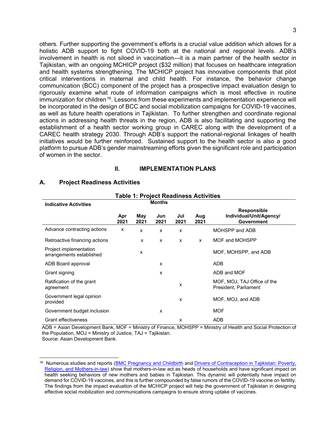others. Further supporting the government's efforts is a crucial value addition which allows for a holistic ADB support to fight COVID-19 both at the national and regional levels. ADB's involvement in health is not siloed in vaccination—it is a main partner of the health sector in Tajikistan, with an ongoing MCHICP project (\$32 million) that focuses on healthcare integration and health systems strengthening. The MCHICP project has innovative components that pilot critical interventions in maternal and child health. For instance, the behavior change communication (BCC) component of the project has a prospective impact evaluation design to rigorously examine what route of information campaigns which is most effective in routine  $im$ munization for children<sup>16</sup>. Lessons from these experiments and implementation experience will be incorporated in the design of BCC and social mobilization campaigns for COVID-19 vaccines, as well as future health operations in Tajikistan. To further strengthen and coordinate regional actions in addressing health threats in the region, ADB is also facilitating and supporting the establishment of a health sector working group in CAREC along with the development of a CAREC health strategy 2030. Through ADB's support the national-regional linkages of health initiatives would be further reinforced. Sustained support to the health sector is also a good platform to pursue ADB's gender mainstreaming efforts given the significant role and participation of women in the sector.

#### **II. IMPLEMENTATION PLANS**

| Table 1: Project Readiness Activities              |             |             |               |             |             |                                                                    |
|----------------------------------------------------|-------------|-------------|---------------|-------------|-------------|--------------------------------------------------------------------|
| <b>Indicative Activities</b>                       |             |             | <b>Months</b> |             |             |                                                                    |
|                                                    | Apr<br>2021 | May<br>2021 | Jun<br>2021   | Jul<br>2021 | Aug<br>2021 | <b>Responsible</b><br>Individual/Unit/Agency/<br><b>Government</b> |
| Advance contracting actions                        | X           | X           | x             | X           |             | MOHSPP and ADB                                                     |
| Retroactive financing actions                      |             | X           | X             | X           | X           | MOF and MOHSPP                                                     |
| Project implementation<br>arrangements established |             | x           |               |             |             | MOF, MOHSPP, and ADB                                               |
| ADB Board approval                                 |             |             | X             |             |             | ADB                                                                |
| Grant signing                                      |             |             | X             |             |             | ADB and MOF                                                        |
| Ratification of the grant<br>agreement             |             |             |               | x           |             | MOF, MOJ, TAJ Office of the<br>President, Parliament               |
| Government legal opinion<br>provided               |             |             |               | x           |             | MOF, MOJ, and ADB                                                  |
| Government budget inclusion                        |             |             | x             |             |             | <b>MOF</b>                                                         |
| <b>Grant effectiveness</b>                         |             |             |               | x           |             | ADB                                                                |

#### <span id="page-8-1"></span><span id="page-8-0"></span>**A. Project Readiness Activities**

ADB = Asian Development Bank, MOF = Ministry of Finance, MOHSPP = Ministry of Health and Social Protection of the Population, MOJ = Ministry of Justice, TAJ = Tajikistan.

<span id="page-8-2"></span><sup>&</sup>lt;sup>16</sup> Numerous studies and reports [\(BMC Pregnancy and Childbirth](https://bmcpregnancychildbirth.biomedcentral.com/articles/10.1186/s12884-018-2166-6) and Drivers of Contraception in Tajikistan: Poverty, [Religion, and Mothers-in-law\)](https://www.unfpa.org/news/drivers-contraception-tajikistan-poverty-religion-and-mothers-law) show that mothers-in-law act as heads of households and have significant impact on health seeking behaviors of new mothers and babies in Tajikistan. This dynamic will potentially have impact on demand for COVID-19 vaccines, and this is further compounded by false rumors of the COVID-19 vaccine on fertility. The findings from the impact evaluation of the MCHICP project will help the government of Tajikistan in designing effective social mobilization and communications campaigns to ensure strong uptake of vaccines.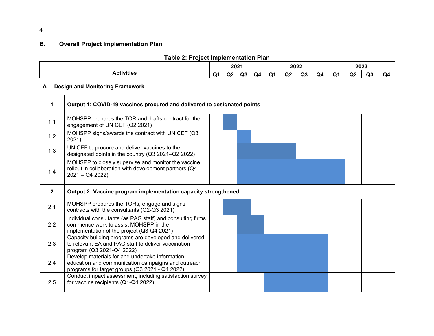# **B. Overall Project Implementation Plan**

<span id="page-9-0"></span>

|              |                                                                                                                                                          |                | 2021 |    |    | 2022           |    |    |                | 2023           |    |    |                |
|--------------|----------------------------------------------------------------------------------------------------------------------------------------------------------|----------------|------|----|----|----------------|----|----|----------------|----------------|----|----|----------------|
|              | <b>Activities</b>                                                                                                                                        | Q <sub>1</sub> | Q2   | Q3 | Q4 | Q <sub>1</sub> | Q2 | Q3 | Q <sub>4</sub> | Q <sub>1</sub> | Q2 | Q3 | Q <sub>4</sub> |
| A            | <b>Design and Monitoring Framework</b>                                                                                                                   |                |      |    |    |                |    |    |                |                |    |    |                |
| 1            | Output 1: COVID-19 vaccines procured and delivered to designated points                                                                                  |                |      |    |    |                |    |    |                |                |    |    |                |
| 1.1          | MOHSPP prepares the TOR and drafts contract for the<br>engagement of UNICEF (Q2 2021)                                                                    |                |      |    |    |                |    |    |                |                |    |    |                |
| 1.2          | MOHSPP signs/awards the contract with UNICEF (Q3<br>2021)                                                                                                |                |      |    |    |                |    |    |                |                |    |    |                |
| 1.3          | UNICEF to procure and deliver vaccines to the<br>designated points in the country (Q3 2021-Q2 2022)                                                      |                |      |    |    |                |    |    |                |                |    |    |                |
| 1.4          | MOHSPP to closely supervise and monitor the vaccine<br>rollout in collaboration with development partners (Q4<br>$2021 - Q42022$                         |                |      |    |    |                |    |    |                |                |    |    |                |
| $\mathbf{2}$ | Output 2: Vaccine program implementation capacity strengthened                                                                                           |                |      |    |    |                |    |    |                |                |    |    |                |
| 2.1          | MOHSPP prepares the TORs, engage and signs<br>contracts with the consultants (Q2-Q3 2021)                                                                |                |      |    |    |                |    |    |                |                |    |    |                |
| 2.2          | Individual consultants (as PAG staff) and consulting firms<br>commence work to assist MOHSPP in the<br>implementation of the project (Q3-Q4 2021)        |                |      |    |    |                |    |    |                |                |    |    |                |
| 2.3          | Capacity building programs are developed and delivered<br>to relevant EA and PAG staff to deliver vaccination<br>program (Q3 2021-Q4 2022)               |                |      |    |    |                |    |    |                |                |    |    |                |
| 2.4          | Develop materials for and undertake information,<br>education and communication campaigns and outreach<br>programs for target groups (Q3 2021 - Q4 2022) |                |      |    |    |                |    |    |                |                |    |    |                |
| 2.5          | Conduct impact assessment, including satisfaction survey<br>for vaccine recipients (Q1-Q4 2022)                                                          |                |      |    |    |                |    |    |                |                |    |    |                |

### **Table 2: Project Implementation Plan**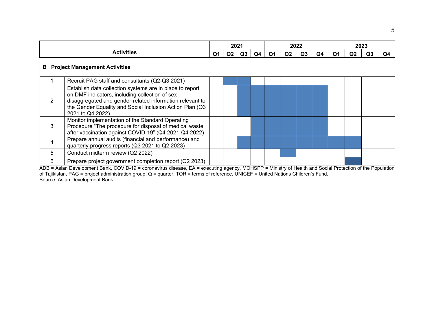|   |                                                                                                                                                                                                                                                         | 2021 |                |    | 2022 |    |                |    | 2023 |    |    |    |    |
|---|---------------------------------------------------------------------------------------------------------------------------------------------------------------------------------------------------------------------------------------------------------|------|----------------|----|------|----|----------------|----|------|----|----|----|----|
|   | <b>Activities</b>                                                                                                                                                                                                                                       | Ο1   | Q <sub>2</sub> | Q3 | Q4   | O1 | Q <sub>2</sub> | Q3 | Q4   | Q1 | Q2 | Q3 | Q4 |
|   | <b>B</b> Project Management Activities                                                                                                                                                                                                                  |      |                |    |      |    |                |    |      |    |    |    |    |
|   | Recruit PAG staff and consultants (Q2-Q3 2021)                                                                                                                                                                                                          |      |                |    |      |    |                |    |      |    |    |    |    |
| 2 | Establish data collection systems are in place to report<br>on DMF indicators, including collection of sex-<br>disaggregated and gender-related information relevant to<br>the Gender Equality and Social Inclusion Action Plan (Q3<br>2021 to Q4 2022) |      |                |    |      |    |                |    |      |    |    |    |    |
| 3 | Monitor implementation of the Standard Operating<br>Procedure "The procedure for disposal of medical waste<br>after vaccination against COVID-19" (Q4 2021-Q4 2022)                                                                                     |      |                |    |      |    |                |    |      |    |    |    |    |
| 4 | Prepare annual audits (financial and performance) and<br>quarterly progress reports (Q3 2021 to Q2 2023)                                                                                                                                                |      |                |    |      |    |                |    |      |    |    |    |    |
| 5 | Conduct midterm review (Q2 2022)                                                                                                                                                                                                                        |      |                |    |      |    |                |    |      |    |    |    |    |
| 6 | Prepare project government completion report (Q2 2023)                                                                                                                                                                                                  |      |                |    |      |    |                |    |      |    |    |    |    |

ADB = Asian Development Bank, COVID-19 = coronavirus disease, EA = executing agency, MOHSPP = Ministry of Health and Social Protection of the Population of Tajikistan, PAG = project administration group, Q = quarter, TOR = terms of reference, UNICEF = United Nations Children's Fund. Source: Asian Development Bank.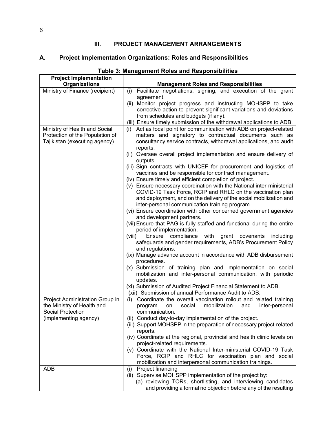### **III. PROJECT MANAGEMENT ARRANGEMENTS**

### <span id="page-11-1"></span><span id="page-11-0"></span>**A. Project Implementation Organizations: Roles and Responsibilities**

| <b>Project Implementation</b>                                                                     |                                                                                                                                                                                                           |
|---------------------------------------------------------------------------------------------------|-----------------------------------------------------------------------------------------------------------------------------------------------------------------------------------------------------------|
| Organizations                                                                                     | <b>Management Roles and Responsibilities</b>                                                                                                                                                              |
| Ministry of Finance (recipient)                                                                   | Facilitate negotiations, signing, and execution of the grant<br>(i)<br>agreement.                                                                                                                         |
|                                                                                                   | (ii) Monitor project progress and instructing MOHSPP to take<br>corrective action to prevent significant variations and deviations                                                                        |
|                                                                                                   | from schedules and budgets (if any).                                                                                                                                                                      |
|                                                                                                   | (iii) Ensure timely submission of the withdrawal applications to ADB.                                                                                                                                     |
| Ministry of Health and Social<br>Protection of the Population of<br>Tajikistan (executing agency) | Act as focal point for communication with ADB on project-related<br>(i)<br>matters and signatory to contractual documents such as<br>consultancy service contracts, withdrawal applications, and audit    |
|                                                                                                   | reports.<br>(ii) Oversee overall project implementation and ensure delivery of<br>outputs.                                                                                                                |
|                                                                                                   | (iii) Sign contracts with UNICEF for procurement and logistics of<br>vaccines and be responsible for contract management.<br>(iv) Ensure timely and efficient completion of project.                      |
|                                                                                                   | (v) Ensure necessary coordination with the National inter-ministerial<br>COVID-19 Task Force, RCIP and RHLC on the vaccination plan<br>and deployment, and on the delivery of the social mobilization and |
|                                                                                                   | inter-personal communication training program.                                                                                                                                                            |
|                                                                                                   | (vi) Ensure coordination with other concerned government agencies<br>and development partners.                                                                                                            |
|                                                                                                   | (vii) Ensure that PAG is fully staffed and functional during the entire<br>period of implementation.                                                                                                      |
|                                                                                                   | Ensure compliance<br>with<br>grant covenants<br>(viii)<br>including<br>safeguards and gender requirements, ADB's Procurement Policy<br>and regulations.                                                   |
|                                                                                                   | (ix) Manage advance account in accordance with ADB disbursement<br>procedures.                                                                                                                            |
|                                                                                                   | (x) Submission of training plan and implementation on social<br>mobilization and inter-personal communication, with periodic<br>updates.                                                                  |
|                                                                                                   | (xi) Submission of Audited Project Financial Statement to ADB.<br>(xii) Submission of annual Performance Audit to ADB.                                                                                    |
| Project Administration Group in<br>the Ministry of Health and<br>Social Protection                | (i) Coordinate the overall vaccination rollout and related training<br>mobilization<br>social<br>and<br>inter-personal<br>program<br>on<br>communication.                                                 |
| (implementing agency)                                                                             | (ii) Conduct day-to-day implementation of the project.<br>(iii) Support MOHSPP in the preparation of necessary project-related<br>reports.                                                                |
|                                                                                                   | (iv) Coordinate at the regional, provincial and health clinic levels on<br>project-related requirements.                                                                                                  |
|                                                                                                   | (v) Coordinate with the National Inter-ministerial COVID-19 Task<br>Force, RCIP and RHLC for vaccination plan and social<br>mobilization and interpersonal communication trainings.                       |
| ADB                                                                                               | Project financing<br>(i)                                                                                                                                                                                  |
|                                                                                                   | (ii) Supervise MOHSPP implementation of the project by:                                                                                                                                                   |
|                                                                                                   | (a) reviewing TORs, shortlisting, and interviewing candidates                                                                                                                                             |
|                                                                                                   | and providing a formal no objection before any of the resulting                                                                                                                                           |

### **Table 3: Management Roles and Responsibilities**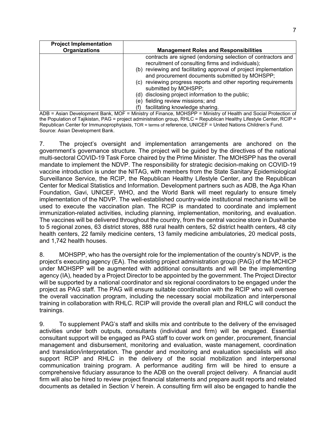| <b>Project Implementation</b><br><b>Organizations</b> | <b>Management Roles and Responsibilities</b>                                                                        |
|-------------------------------------------------------|---------------------------------------------------------------------------------------------------------------------|
|                                                       |                                                                                                                     |
|                                                       | contracts are signed (endorsing selection of contractors and                                                        |
|                                                       | recruitment of consulting firms and individuals);                                                                   |
|                                                       | (b) reviewing and facilitating approval of project implementation<br>and procurement documents submitted by MOHSPP; |
|                                                       | (c) reviewing progress reports and other reporting requirements<br>submitted by MOHSPP:                             |
|                                                       | (d) disclosing project information to the public;                                                                   |
|                                                       | (e) fielding review missions; and                                                                                   |
|                                                       | facilitating knowledge sharing.                                                                                     |

ADB = Asian Development Bank, MOF = Ministry of Finance, MOHSPP = Ministry of Health and Social Protection of the Population of Tajikistan, PAG = project administration group, RHLC = Republican Healthy Lifestyle Center, RCIP = Republican Center for Immunoprophylaxis, TOR = terms of reference, UNICEF = United Nations Children's Fund. Source: Asian Development Bank.

7. The project's oversight and implementation arrangements are anchored on the government's governance structure. The project will be guided by the directives of the national multi-sectoral COVID-19 Task Force chaired by the Prime Minister. The MOHSPP has the overall mandate to implement the NDVP. The responsibility for strategic decision-making on COVID-19 vaccine introduction is under the NITAG, with members from the State Sanitary Epidemiological Surveillance Service, the RCIP, the Republican Healthy Lifestyle Center, and the Republican Center for Medical Statistics and Information. Development partners such as ADB, the Aga Khan Foundation, Gavi, UNICEF, WHO, and the World Bank will meet regularly to ensure timely implementation of the NDVP. The well-established country-wide institutional mechanisms will be used to execute the vaccination plan. The RCIP is mandated to coordinate and implement immunization-related activities, including planning, implementation, monitoring, and evaluation. The vaccines will be delivered throughout the country, from the central vaccine store in Dushanbe to 5 regional zones, 63 district stores, 888 rural health centers, 52 district health centers, 48 city health centers, 22 family medicine centers, 13 family medicine ambulatories, 20 medical posts, and 1,742 health houses.

8. MOHSPP, who has the oversight role for the implementation of the country's NDVP, is the project's executing agency (EA). The existing project administration group (PAG) of the MCHICP under MOHSPP will be augmented with additional consultants and will be the implementing agency (IA), headed by a Project Director to be appointed by the government. The Project Director will be supported by a national coordinator and six regional coordinators to be engaged under the project as PAG staff. The PAG will ensure suitable coordination with the RCIP who will oversee the overall vaccination program, including the necessary social mobilization and interpersonal training in collaboration with RHLC. RCIP will provide the overall plan and RHLC will conduct the trainings.

9. To supplement PAG's staff and skills mix and contribute to the delivery of the envisaged activities under both outputs, consultants (individual and firm) will be engaged. Essential consultant support will be engaged as PAG staff to cover work on gender, procurement, financial management and disbursement, monitoring and evaluation, waste management, coordination and translation/interpretation. The gender and monitoring and evaluation specialists will also support RCIP and RHLC in the delivery of the social mobilization and interpersonal communication training program. A performance auditing firm will be hired to ensure a comprehensive fiduciary assurance to the ADB on the overall project delivery. A financial audit firm will also be hired to review project financial statements and prepare audit reports and related documents as detailed in Section V herein. A consulting firm will also be engaged to handle the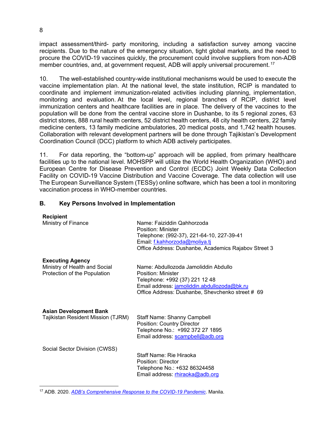impact assessment/third- party monitoring, including a satisfaction survey among vaccine recipients. Due to the nature of the emergency situation, tight global markets, and the need to procure the COVID-19 vaccines quickly, the procurement could involve suppliers from non-ADB member countries, and, at government request. ADB will apply universal procurement.<sup>[17](#page-13-1)</sup>

10. The well-established country-wide institutional mechanisms would be used to execute the vaccine implementation plan. At the national level, the state institution, RCIP is mandated to coordinate and implement immunization-related activities including planning, implementation, monitoring and evaluation. At the local level, regional branches of RCIP, district level immunization centers and healthcare facilities are in place. The delivery of the vaccines to the population will be done from the central vaccine store in Dushanbe, to its 5 regional zones, 63 district stores, 888 rural health centers, 52 district health centers, 48 city health centers, 22 family medicine centers, 13 family medicine ambulatories, 20 medical posts, and 1,742 health houses. Collaboration with relevant development partners will be done through Tajikistan's Development Coordination Council (DCC) platform to which ADB actively participates.

11. For data reporting, the "bottom-up" approach will be applied, from primary healthcare facilities up to the national level. MOHSPP will utilize the World Health Organization (WHO) and European Centre for Disease Prevention and Control (ECDC) Joint Weekly Data Collection Facility on COVID-19 Vaccine Distribution and Vaccine Coverage. The data collection will use The European Surveillance System (TESSy) online software, which has been a tool in monitoring vaccination process in WHO-member countries.

#### <span id="page-13-0"></span>**B. Key Persons Involved in Implementation**

| <b>Recipient</b><br>Ministry of Finance                                                  | Name: Faiziddin Qahhorzoda<br>Position: Minister<br>Telephone: (992-37), 221-64-10, 227-39-41<br>Email: f.kahhorzoda@moliya.tj<br>Office Address: Dushanbe, Academics Rajabov Street 3          |
|------------------------------------------------------------------------------------------|-------------------------------------------------------------------------------------------------------------------------------------------------------------------------------------------------|
| <b>Executing Agency</b><br>Ministry of Health and Social<br>Protection of the Population | Name: Abdullozoda Jamoliddin Abdullo<br>Position: Minister<br>Telephone: +992 (37) 221 12 48<br>Email address: jamoliddin.abdullozoda@bk.ru<br>Office Address: Dushanbe, Shevchenko street # 69 |
| <b>Asian Development Bank</b><br>Tajikistan Resident Mission (TJRM)                      | <b>Staff Name: Shanny Campbell</b><br><b>Position: Country Director</b><br>Telephone No.: +992 372 27 1895<br>Email address: scampbell@adb.org                                                  |
| Social Sector Division (CWSS)                                                            | Staff Name: Rie Hiraoka<br>Position: Director<br>Telephone No.: +632 86324458<br>Email address: rhiraoka@adb.org                                                                                |

<span id="page-13-1"></span><sup>17</sup> ADB. 2020. *[ADB's Comprehensive Response to the COVID-19 Pandemic](https://www.adb.org/documents/adb-comprehensive-response-covid-19-pandemic-policy-paper)*. Manila.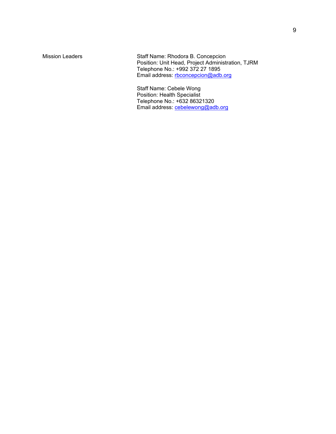Mission Leaders Staff Name: Rhodora B. Concepcion Position: Unit Head, Project Administration, TJRM Telephone No.: [+992 372 27 1895](https://www.google.com/search?q=adb+tajiksitan+resident+mission&rlz=1C1GCEB_enPH784PH784&oq=adb+tajiksitan+resident+mission&aqs=chrome..69i57j46i13i175i199.4441j0j7&sourceid=chrome&ie=UTF-8) Email address: <u>rbconcepcion@adb.org</u>

> Staff Name: Cebele Wong Position: Health Specialist Telephone No.: +632 86321320 Email address: <u>cebelewong@adb.org</u>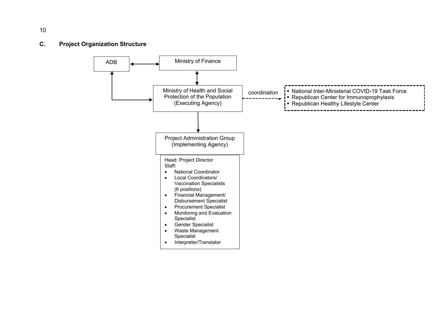### <span id="page-15-0"></span>**C. Project Organization Structure**



10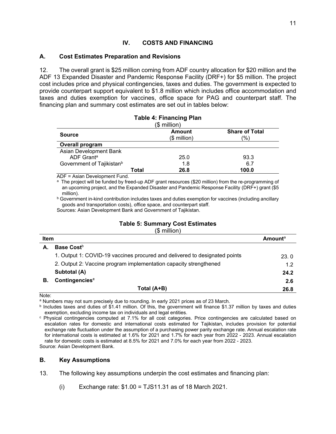### **IV. COSTS AND FINANCING**

#### <span id="page-16-1"></span><span id="page-16-0"></span>**A. Cost Estimates Preparation and Revisions**

12. The overall grant is \$25 million coming from ADF country allocation for \$20 million and the ADF 13 Expanded Disaster and Pandemic Response Facility (DRF+) for \$5 million. The project cost includes price and physical contingencies, taxes and duties. The government is expected to provide counterpart support equivalent to \$1.8 million which includes office accommodation and taxes and duties exemption for vaccines, office space for PAG and counterpart staff. The financing plan and summary cost estimates are set out in tables below:

| <b>Table 4: Financing Plan</b>        |       |               |                       |  |  |  |  |
|---------------------------------------|-------|---------------|-----------------------|--|--|--|--|
| $$$ million)                          |       |               |                       |  |  |  |  |
|                                       |       | <b>Amount</b> | <b>Share of Total</b> |  |  |  |  |
| <b>Source</b>                         |       | $$$ million)  | '%)                   |  |  |  |  |
| Overall program                       |       |               |                       |  |  |  |  |
| Asian Development Bank                |       |               |                       |  |  |  |  |
| ADF Grant <sup>a</sup>                |       | 25.0          | 93.3                  |  |  |  |  |
| Government of Tajikistan <sup>b</sup> |       | 1.8           | 6.7                   |  |  |  |  |
|                                       | Total | 26.8          | 100.0                 |  |  |  |  |

ADF = Asian Development Fund.

<sup>a</sup> The project will be funded by freed-up ADF grant resources (\$20 million) from the re-programming of an upcoming project, and the Expanded Disaster and Pandemic Response Facility (DRF+) grant (\$5 million).

**b Government in-kind contribution includes taxes and duties exemption for vaccines (including ancillary** goods and transportation costs), office space, and counterpart staff.

Sources: Asian Development Bank and Government of Tajikistan.

### **Table 5: Summary Cost Estimates**

(\$ million)

| <b>Item</b> | $\vee$                                                                     | <b>Amount</b> <sup>a</sup> |
|-------------|----------------------------------------------------------------------------|----------------------------|
| А.          | Base Cost <sup>b</sup>                                                     |                            |
|             | 1. Output 1: COVID-19 vaccines procured and delivered to designated points | 23.0                       |
|             | 2. Output 2: Vaccine program implementation capacity strengthened          |                            |
|             | Subtotal (A)                                                               | 24.2                       |
| В.          | Contingencies <sup>c</sup>                                                 | 2.6                        |
|             | Total (A+B)                                                                | 26.8                       |

Note:

a Numbers may not sum precisely due to rounding. In early 2021 prices as of 23 March.

 $<sup>b</sup>$  Includes taxes and duties of \$1.41 million. Of this, the government will finance \$1.37 million by taxes and duties</sup> exemption, excluding income tax on individuals and legal entities.

<sup>c</sup> Physical contingencies computed at 7.1% for all cost categories. Price contingencies are calculated based on escalation rates for domestic and international costs estimated for Tajikistan, includes provision for potential exchange rate fluctuation under the assumption of a purchasing power parity exchange rate. Annual escalation rate for international costs is estimated at 1.6% for 2021 and 1.7% for each year from 2022 - 2023. Annual escalation rate for domestic costs is estimated at 8.5% for 2021 and 7.0% for each year from 2022 - 2023. Source: Asian Development Bank.

#### <span id="page-16-2"></span>**B. Key Assumptions**

13. The following key assumptions underpin the cost estimates and financing plan:

(i) Exchange rate: \$1.00 = TJS11.31 as of 18 March 2021.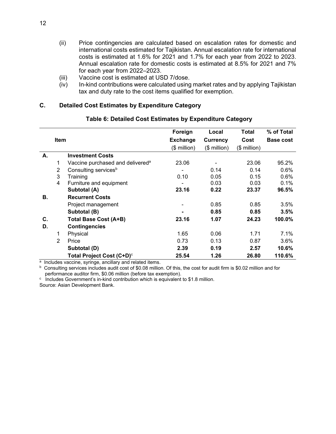- (ii) Price contingencies are calculated based on escalation rates for domestic and international costs estimated for Tajikistan. Annual escalation rate for international costs is estimated at 1.6% for 2021 and 1.7% for each year from 2022 to 2023. Annual escalation rate for domestic costs is estimated at 8.5% for 2021 and 7% for each year from 2022–2023.
- (iii) Vaccine cost is estimated at USD 7/dose.
- (iv) In-kind contributions were calculated using market rates and by applying Tajikistan tax and duty rate to the cost items qualified for exemption.

#### <span id="page-17-0"></span>**C. Detailed Cost Estimates by Expenditure Category**

#### **Table 6: Detailed Cost Estimates by Expenditure Category**

|    |                |                                              | Foreign         | Local            | Total        | % of Total       |
|----|----------------|----------------------------------------------|-----------------|------------------|--------------|------------------|
|    | <b>Item</b>    |                                              | <b>Exchange</b> | Currency         | Cost         | <b>Base cost</b> |
|    |                |                                              | (\$ million)    | $($$ million $)$ | (\$ million) |                  |
| А. |                | <b>Investment Costs</b>                      |                 |                  |              |                  |
|    | 1              | Vaccine purchased and delivered <sup>a</sup> | 23.06           |                  | 23.06        | 95.2%            |
|    | 2              | Consulting services <sup>b</sup>             |                 | 0.14             | 0.14         | 0.6%             |
|    | 3              | Training                                     | 0.10            | 0.05             | 0.15         | 0.6%             |
|    | 4              | Furniture and equipment                      |                 | 0.03             | 0.03         | 0.1%             |
|    |                | Subtotal (A)                                 | 23.16           | 0.22             | 23.37        | 96.5%            |
| В. |                | <b>Recurrent Costs</b>                       |                 |                  |              |                  |
|    |                | Project management                           |                 | 0.85             | 0.85         | 3.5%             |
|    |                | Subtotal (B)                                 |                 | 0.85             | 0.85         | 3.5%             |
| C. |                | Total Base Cost (A+B)                        | 23.16           | 1.07             | 24.23        | 100.0%           |
| D. |                | <b>Contingencies</b>                         |                 |                  |              |                  |
|    | 1              | Physical                                     | 1.65            | 0.06             | 1.71         | 7.1%             |
|    | $\overline{2}$ | Price                                        | 0.73            | 0.13             | 0.87         | 3.6%             |
|    |                | Subtotal (D)                                 | 2.39            | 0.19             | 2.57         | 10.6%            |
|    |                | Total Project Cost (C+D) <sup>c</sup>        | 25.54           | 1.26             | 26.80        | 110.6%           |

a Includes vaccine, syringe, ancillary and related items.

 $b$  Consulting services includes audit cost of \$0.08 million. Of this, the cost for audit firm is \$0.02 million and for performance auditor firm, \$0.06 million (before tax exemption).

 $\degree$  Includes Government's in-kind contribution which is equivalent to \$1.8 million.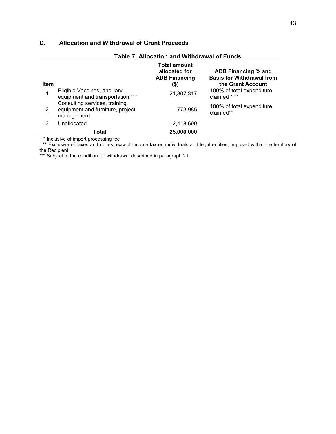### <span id="page-18-0"></span>**D. Allocation and Withdrawal of Grant Proceeds**

| <b>Table 7: Allocation and Withdrawal of Funds</b> |                                                                                  |                                                                      |                                                                              |  |  |  |  |
|----------------------------------------------------|----------------------------------------------------------------------------------|----------------------------------------------------------------------|------------------------------------------------------------------------------|--|--|--|--|
| Item                                               |                                                                                  | <b>Total amount</b><br>allocated for<br><b>ADB Financing</b><br>(\$) | ADB Financing % and<br><b>Basis for Withdrawal from</b><br>the Grant Account |  |  |  |  |
|                                                    | Eligible Vaccines, ancillary<br>equipment and transportation ***                 | 21,807,317                                                           | 100% of total expenditure<br>claimed * **                                    |  |  |  |  |
| 2                                                  | Consulting services, training,<br>equipment and furniture, project<br>management | 773,985                                                              | 100% of total expenditure<br>claimed**                                       |  |  |  |  |
| 3                                                  | Unallocated                                                                      | 2,418,699                                                            |                                                                              |  |  |  |  |
|                                                    | Total                                                                            | 25,000,000                                                           |                                                                              |  |  |  |  |

\* Inclusive of import processing fee

\*\* Exclusive of taxes and duties, except income tax on individuals and legal entities, imposed within the territory of the Recipient.

\*\*\* Subject to the condition for withdrawal described in paragraph 21.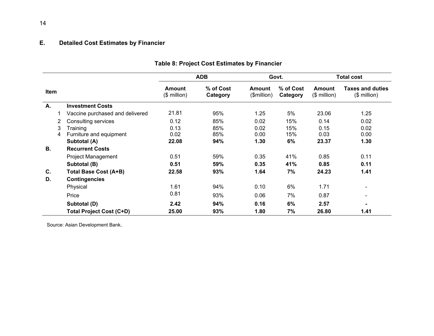### **E. Detailed Cost Estimates by Financier**

<span id="page-19-0"></span>

|      |   |                                   |                       | <b>ADB</b>            | Govt.                 |                         |                                             | <b>Total cost</b> |
|------|---|-----------------------------------|-----------------------|-----------------------|-----------------------|-------------------------|---------------------------------------------|-------------------|
| Item |   | <b>Amount</b><br>$($$ million $)$ | % of Cost<br>Category | Amount<br>(\$million) | % of Cost<br>Category | Amount<br>$($$ million) | <b>Taxes and duties</b><br>$($$ million $)$ |                   |
| Α.   |   | <b>Investment Costs</b>           |                       |                       |                       |                         |                                             |                   |
|      |   | Vaccine purchased and delivered   | 21.81                 | 95%                   | 1.25                  | 5%                      | 23.06                                       | 1.25              |
|      | 2 | <b>Consulting services</b>        | 0.12                  | 85%                   | 0.02                  | 15%                     | 0.14                                        | 0.02              |
|      | 3 | Training                          | 0.13                  | 85%                   | 0.02                  | 15%                     | 0.15                                        | 0.02              |
|      | 4 | Furniture and equipment           | 0.02                  | 85%                   | 0.00                  | 15%                     | 0.03                                        | 0.00              |
|      |   | Subtotal (A)                      | 22.08                 | 94%                   | 1.30                  | 6%                      | 23.37                                       | 1.30              |
| В.   |   | <b>Recurrent Costs</b>            |                       |                       |                       |                         |                                             |                   |
|      |   | <b>Project Management</b>         | 0.51                  | 59%                   | 0.35                  | 41%                     | 0.85                                        | 0.11              |
|      |   | Subtotal (B)                      | 0.51                  | 59%                   | 0.35                  | 41%                     | 0.85                                        | 0.11              |
| C.   |   | <b>Total Base Cost (A+B)</b>      | 22.58                 | 93%                   | 1.64                  | 7%                      | 24.23                                       | 1.41              |
| D.   |   | <b>Contingencies</b>              |                       |                       |                       |                         |                                             |                   |
|      |   | Physical                          | 1.61                  | 94%                   | 0.10                  | 6%                      | 1.71                                        | -                 |
|      |   | Price                             | 0.81                  | 93%                   | 0.06                  | 7%                      | 0.87                                        | $\blacksquare$    |
|      |   | Subtotal (D)                      | 2.42                  | 94%                   | 0.16                  | 6%                      | 2.57                                        |                   |
|      |   | Total Project Cost (C+D)          | 25.00                 | 93%                   | 1.80                  | 7%                      | 26.80                                       | 1.41              |

### **Table 8: Project Cost Estimates by Financier**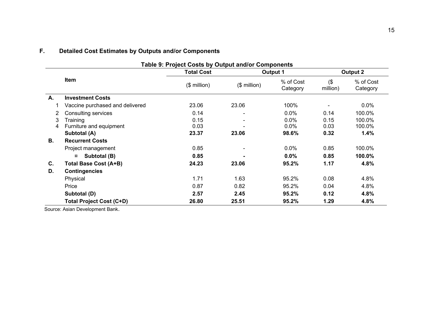<span id="page-20-0"></span>

|    | Table 9: Project Costs by Output and/or Components |                   |                  |                       |                    |                       |  |  |  |  |  |
|----|----------------------------------------------------|-------------------|------------------|-----------------------|--------------------|-----------------------|--|--|--|--|--|
|    |                                                    | <b>Total Cost</b> |                  | <b>Output 1</b>       | Output 2           |                       |  |  |  |  |  |
|    | Item                                               | $($$ million)     | $($$ million $)$ | % of Cost<br>Category | $($ \$<br>million) | % of Cost<br>Category |  |  |  |  |  |
| А. | <b>Investment Costs</b>                            |                   |                  |                       |                    |                       |  |  |  |  |  |
|    | Vaccine purchased and delivered                    | 23.06             | 23.06            | 100%                  |                    | $0.0\%$               |  |  |  |  |  |
| 2. | <b>Consulting services</b>                         | 0.14              |                  | 0.0%                  | 0.14               | 100.0%                |  |  |  |  |  |
| 3  | Training                                           | 0.15              |                  | $0.0\%$               | 0.15               | 100.0%                |  |  |  |  |  |
| 4  | Furniture and equipment                            | 0.03              |                  | $0.0\%$               | 0.03               | 100.0%                |  |  |  |  |  |
|    | Subtotal (A)                                       | 23.37             | 23.06            | 98.6%                 | 0.32               | 1.4%                  |  |  |  |  |  |
| В. | <b>Recurrent Costs</b>                             |                   |                  |                       |                    |                       |  |  |  |  |  |
|    | Project management                                 | 0.85              |                  | 0.0%                  | 0.85               | 100.0%                |  |  |  |  |  |
|    | Subtotal (B)<br>$\alpha$                           | 0.85              |                  | 0.0%                  | 0.85               | 100.0%                |  |  |  |  |  |
| C. | Total Base Cost (A+B)                              | 24.23             | 23.06            | 95.2%                 | 1.17               | 4.8%                  |  |  |  |  |  |
| D. | <b>Contingencies</b>                               |                   |                  |                       |                    |                       |  |  |  |  |  |
|    | Physical                                           | 1.71              | 1.63             | 95.2%                 | 0.08               | 4.8%                  |  |  |  |  |  |
|    | Price                                              | 0.87              | 0.82             | 95.2%                 | 0.04               | 4.8%                  |  |  |  |  |  |
|    | Subtotal (D)                                       | 2.57              | 2.45             | 95.2%                 | 0.12               | 4.8%                  |  |  |  |  |  |
|    | <b>Total Project Cost (C+D)</b>                    | 26.80             | 25.51            | 95.2%                 | 1.29               | 4.8%                  |  |  |  |  |  |

# **F. Detailed Cost Estimates by Outputs and/or Components**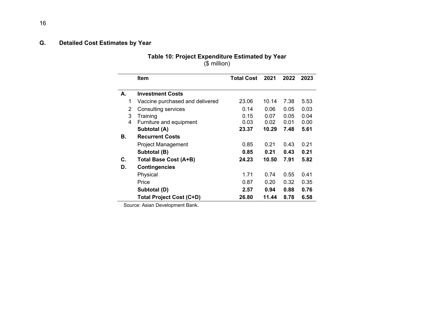### <span id="page-21-0"></span>**G. Detailed Cost Estimates by Year**

#### **Table 10: Project Expenditure Estimated by Year** (\$ million)

|    | <b>Item</b>                     | <b>Total Cost</b> | 2021  | 2022 | 2023 |
|----|---------------------------------|-------------------|-------|------|------|
|    |                                 |                   |       |      |      |
| А. | <b>Investment Costs</b>         |                   |       |      |      |
| 1  | Vaccine purchased and delivered | 23.06             | 10.14 | 7.38 | 5.53 |
| 2  | <b>Consulting services</b>      | 0.14              | 0.06  | 0.05 | 0.03 |
| 3  | Training                        | 0.15              | 0.07  | 0.05 | 0.04 |
| 4  | Furniture and equipment         | 0.03              | 0.02  | 0.01 | 0.00 |
|    | Subtotal (A)                    | 23.37             | 10.29 | 7.48 | 5.61 |
| В. | <b>Recurrent Costs</b>          |                   |       |      |      |
|    | Project Management              | 0.85              | 0.21  | 0.43 | 0.21 |
|    | Subtotal (B)                    | 0.85              | 0.21  | 0.43 | 0.21 |
| C. | <b>Total Base Cost (A+B)</b>    | 24.23             | 10.50 | 7.91 | 5.82 |
| D. | <b>Contingencies</b>            |                   |       |      |      |
|    | Physical                        | 1.71              | 0.74  | 0.55 | 0.41 |
|    | Price                           | 0.87              | 0.20  | 0.32 | 0.35 |
|    | Subtotal (D)                    | 2.57              | 0.94  | 0.88 | 0.76 |
|    | <b>Total Project Cost (C+D)</b> | 26.80             | 11.44 | 8.78 | 6.58 |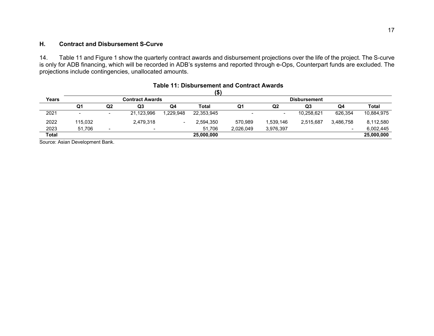### **H. Contract and Disbursement S-Curve**

14. Table 11 and Figure 1 show the quarterly contract awards and disbursement projections over the life of the project. The S-curve is only for ADB financing, which will be recorded in ADB's systems and reported through e-Ops, Counterpart funds are excluded. The projections include contingencies, unallocated amounts.

<span id="page-22-0"></span>

|              |                          |                          |                        |           | (\$,         |           |                     |                |                          |            |  |  |
|--------------|--------------------------|--------------------------|------------------------|-----------|--------------|-----------|---------------------|----------------|--------------------------|------------|--|--|
| Years        |                          |                          | <b>Contract Awards</b> |           |              |           | <b>Disbursement</b> |                |                          |            |  |  |
|              | Q1                       | Q <sub>2</sub>           | Q3                     | Q4        | <b>Total</b> | Q1        | Q <sub>2</sub>      | Q <sub>3</sub> | Q4                       | Total      |  |  |
| 2021         | $\overline{\phantom{a}}$ | $\overline{\phantom{a}}$ | 21,123,996             | 1,229,948 | 22,353,945   |           |                     | 10,258,621     | 626.354                  | 10,884,975 |  |  |
| 2022         | 115,032                  |                          | 2,479,318              |           | 2,594,350    | 570,989   | 1,539,146           | 2,515,687      | 3,486,758                | 8,112,580  |  |  |
| 2023         | 51,706                   |                          |                        |           | 51.706       | 2,026,049 | 3,976,397           |                | $\overline{\phantom{0}}$ | 6,002,445  |  |  |
| <b>Total</b> |                          |                          |                        |           | 25,000,000   |           |                     |                |                          | 25,000,000 |  |  |

#### **Table 11: Disbursement and Contract Awards**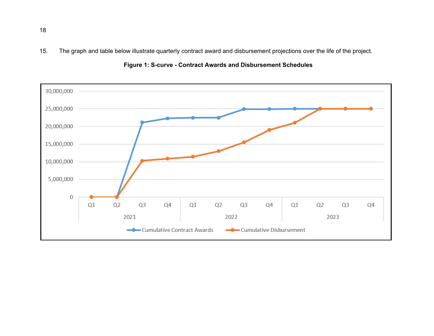15. The graph and table below illustrate quarterly contract award and disbursement projections over the life of the project.



**Figure 1: S-curve - Contract Awards and Disbursement Schedules**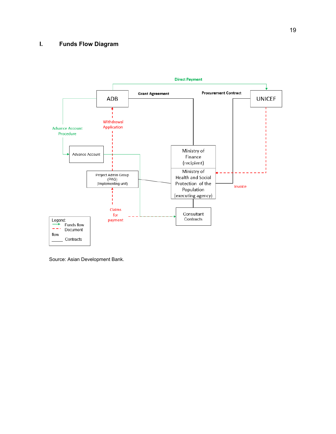### <span id="page-24-0"></span>**I. Funds Flow Diagram**

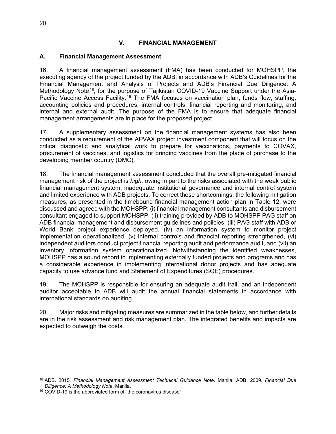### **V. FINANCIAL MANAGEMENT**

#### <span id="page-25-1"></span><span id="page-25-0"></span>**A. Financial Management Assessment**

16. A financial management assessment (FMA) has been conducted for MOHSPP, the executing agency of the project funded by the ADB, in accordance with ADB's Guidelines for the Financial Management and Analysis of Projects and ADB's Financial Due Diligence: A Methodology Note<sup>[18](#page-25-2)</sup>, for the purpose of Tajikistan COVID-19 Vaccine Support under the Asia-Pacific Vaccine Access Facility.<sup>[19](#page-25-3)</sup> The FMA focuses on vaccination plan, funds flow, staffing, accounting policies and procedures, internal controls, financial reporting and monitoring, and internal and external audit. The purpose of the FMA is to ensure that adequate financial management arrangements are in place for the proposed project.

17. A supplementary assessment on the financial management systems has also been conducted as a requirement of the APVAX project investment component that will focus on the critical diagnostic and analytical work to prepare for vaccinations, payments to COVAX, procurement of vaccines, and logistics for bringing vaccines from the place of purchase to the developing member country (DMC).

18. The financial management assessment concluded that the overall pre-mitigated financial management risk of the project is *high,* owing in part to the risks associated with the weak public financial management system, inadequate institutional governance and internal control system and limited experience with ADB projects. To correct these shortcomings, the following mitigation measures, as presented in the timebound financial management action plan in Table 12, were discussed and agreed with the MOHSPP: (i) financial management consultants and disbursement consultant engaged to support MOHSPP, (ii) training provided by ADB to MOHSPP PAG staff on ADB financial management and disbursement guidelines and policies, (iii) PAG staff with ADB or World Bank project experience deployed, (iv) an information system to monitor project implementation operationalized, (v) internal controls and financial reporting strengthened, (vi) independent auditors conduct project financial reporting audit and performance audit, and (vii) an inventory information system operationalized. Notwithstanding the identified weaknesses, MOHSPP has a sound record in implementing externally funded projects and programs and has a considerable experience in implementing international donor projects and has adequate capacity to use advance fund and Statement of Expenditures (SOE) procedures.

19. The MOHSPP is responsible for ensuring an adequate audit trail, and an independent auditor acceptable to ADB will audit the annual financial statements in accordance with international standards on auditing.

20. Major risks and mitigating measures are summarized in the table below, and further details are in the risk assessment and risk management plan. The integrated benefits and impacts are expected to outweigh the costs.

<span id="page-25-2"></span><sup>18</sup> ADB. 2015. *Financial Management Assessment Technical Guidance Note*. Manila; ADB. 2009. *Financial Due Diligence: A Methodology Note*. Manila.

<span id="page-25-3"></span><sup>19</sup> COVID-19 is the abbreviated form of "the coronavirus disease".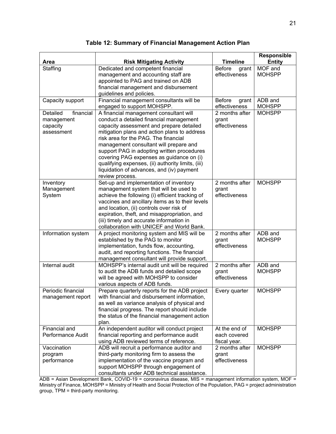|                        |                                                                                              | <b>Timeline</b>                | Responsible              |
|------------------------|----------------------------------------------------------------------------------------------|--------------------------------|--------------------------|
| Area<br>Staffing       | <b>Risk Mitigating Activity</b><br>Dedicated and competent financial                         | <b>Before</b>                  | <b>Entity</b><br>MOF and |
|                        | management and accounting staff are                                                          | grant<br>effectiveness         | <b>MOHSPP</b>            |
|                        | appointed to PAG and trained on ADB                                                          |                                |                          |
|                        | financial management and disbursement                                                        |                                |                          |
|                        | guidelines and policies.                                                                     |                                |                          |
| Capacity support       | Financial management consultants will be                                                     | <b>Before</b><br>grant         | ADB and                  |
|                        | engaged to support MOHSPP.                                                                   | effectiveness                  | <b>MOHSPP</b>            |
| Detailed<br>financial  | A financial management consultant will                                                       | 2 months after                 | <b>MOHSPP</b>            |
| management             | conduct a detailed financial management                                                      | grant                          |                          |
| capacity               | capacity assessment and prepare detailed                                                     | effectiveness                  |                          |
| assessment             | mitigation plans and action plans to address                                                 |                                |                          |
|                        | risk area for the PAG. The financial                                                         |                                |                          |
|                        | management consultant will prepare and                                                       |                                |                          |
|                        | support PAG in adopting written procedures                                                   |                                |                          |
|                        | covering PAG expenses as guidance on (i)                                                     |                                |                          |
|                        | qualifying expenses, (ii) authority limits, (iii)                                            |                                |                          |
|                        | liquidation of advances, and (iv) payment<br>review process.                                 |                                |                          |
| Inventory              | Set-up and implementation of inventory                                                       | 2 months after                 | <b>MOHSPP</b>            |
| Management             | management system that will be used to                                                       | grant                          |                          |
| System                 | achieve the following (i) efficient tracking of                                              | effectiveness                  |                          |
|                        | vaccines and ancillary items as to their levels                                              |                                |                          |
|                        | and location, (ii) controls over risk of                                                     |                                |                          |
|                        | expiration, theft, and misappropriation, and                                                 |                                |                          |
|                        | (iii) timely and accurate information in                                                     |                                |                          |
|                        | collaboration with UNICEF and World Bank.                                                    |                                |                          |
| Information system     | A project monitoring system and MIS will be                                                  | 2 months after                 | ADB and                  |
|                        | established by the PAG to monitor                                                            | grant                          | <b>MOHSPP</b>            |
|                        | implementation, funds flow, accounting,                                                      | effectiveness                  |                          |
|                        | audit, and reporting functions. The financial                                                |                                |                          |
| Internal audit         | management consultant will provide support.<br>MOHSPP's internal audit unit will be required | 2 months after                 | ADB and                  |
|                        | to audit the ADB funds and detailed scope                                                    | grant                          | <b>MOHSPP</b>            |
|                        | will be agreed with MOHSPP to consider                                                       | effectiveness                  |                          |
|                        | various aspects of ADB funds.                                                                |                                |                          |
| Periodic financial     | Prepare quarterly reports for the ADB project                                                | Every quarter                  | <b>MOHSPP</b>            |
| management report      | with financial and disbursement information,                                                 |                                |                          |
|                        | as well as variance analysis of physical and                                                 |                                |                          |
|                        | financial progress. The report should include                                                |                                |                          |
|                        | the status of the financial management action                                                |                                |                          |
|                        | plan.                                                                                        |                                |                          |
| Financial and          | An independent auditor will conduct project                                                  | At the end of                  | <b>MOHSPP</b>            |
| Performance Audit      | financial reporting and performance audit                                                    | each covered                   |                          |
|                        | using ADB reviewed terms of reference.                                                       | fiscal year.<br>2 months after | <b>MOHSPP</b>            |
| Vaccination<br>program | ADB will recruit a performance auditor and<br>third-party monitoring firm to assess the      | grant                          |                          |
| performance            | implementation of the vaccine program and                                                    | effectiveness                  |                          |
|                        | support MOHSPP through engagement of                                                         |                                |                          |
|                        | consultants under ADB technical assistance.                                                  |                                |                          |

**Table 12: Summary of Financial Management Action Plan**

ADB = Asian Development Bank, COVID-19 = coronavirus disease, MIS = management information system, MOF = Ministry of Finance, MOHSPP = Ministry of Health and Social Protection of the Population, PAG = project administration group, TPM = third-party monitoring.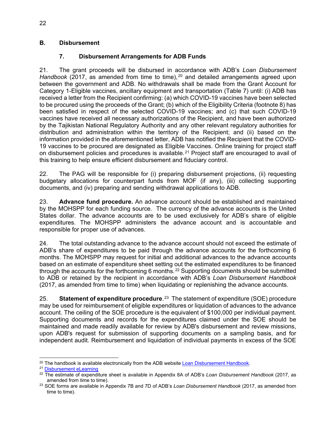### <span id="page-27-0"></span>**B. Disbursement**

### **7. Disbursement Arrangements for ADB Funds**

21. The grant proceeds will be disbursed in accordance with ADB's *Loan Disbursement Handbook* ([20](#page-27-1)17, as amended from time to time), <sup>20</sup> and detailed arrangements agreed upon between the government and ADB. No withdrawals shall be made from the Grant Account for Category 1-Eligible vaccines, ancillary equipment and transportation (Table 7) until: (i) ADB has received a letter from the Recipient confirming: (a) which COVID-19 vaccines have been selected to be procured using the proceeds of the Grant; (b) which of the Eligibility Criteria (footnote 8) has been satisfied in respect of the selected COVID-19 vaccines; and (c) that such COVID-19 vaccines have received all necessary authorizations of the Recipient, and have been authorized by the Tajikistan National Regulatory Authority and any other relevant regulatory authorities for distribution and administration within the territory of the Recipient; and (ii) based on the information provided in the aforementioned letter, ADB has notified the Recipient that the COVID-19 vaccines to be procured are designated as Eligible Vaccines. Online training for project staff on disbursement policies and procedures is available.<sup>[21](#page-27-2)</sup> Project staff are encouraged to avail of this training to help ensure efficient disbursement and fiduciary control.

22. The PAG will be responsible for (i) preparing disbursement projections, (ii) requesting budgetary allocations for counterpart funds from MOF (if any), (iii) collecting supporting documents, and (iv) preparing and sending withdrawal applications to ADB.

23. **Advance fund procedure.** An advance account should be established and maintained by the MOHSPP for each funding source. The currency of the advance accounts is the United States dollar. The advance accounts are to be used exclusively for ADB's share of eligible expenditures. The MOHSPP administers the advance account and is accountable and responsible for proper use of advances.

24. The total outstanding advance to the advance account should not exceed the estimate of ADB's share of expenditures to be paid through the advance accounts for the forthcoming 6 months. The MOHSPP may request for initial and additional advances to the advance accounts based on an estimate of expenditure sheet setting out the estimated expenditures to be financed through the accounts for the forthcoming 6 months.<sup>[22](#page-27-3)</sup> Supporting documents should be submitted to ADB or retained by the recipient in accordance with ADB's *Loan Disbursement Handbook* (2017, as amended from time to time) when liquidating or replenishing the advance accounts.

25. **Statement of expenditure procedure**. [23](#page-27-4) The statement of expenditure (SOE) procedure may be used for reimbursement of eligible expenditures or liquidation of advances to the advance account. The ceiling of the SOE procedure is the equivalent of \$100,000 per individual payment. Supporting documents and records for the expenditures claimed under the SOE should be maintained and made readily available for review by ADB's disbursement and review missions, upon ADB's request for submission of supporting documents on a sampling basis, and for independent audit. Reimbursement and liquidation of individual payments in excess of the SOE

<span id="page-27-1"></span><sup>20</sup> The handbook is available electronically from the ADB website [Loan Disbursement Handbook](https://www.adb.org/documents/loan-disbursement-handbook)*.*

<span id="page-27-2"></span><sup>21</sup> [Disbursement eLearning](https://wpqr4.adb.org/LotusQuickr/disbursement_elearning/Main.nsf/h_Toc/4134fe6581e501e848257ce60012643a/?OpenDocument#%7Btype=0&unid=4134FE6581E501E848257CE60012643A%7D)

<span id="page-27-3"></span><sup>22</sup> The estimate of expenditure sheet is available in Appendix 8A of ADB's *Loan Disbursement Handbook* (2017, as amended from time to time).

<span id="page-27-4"></span><sup>23</sup> SOE forms are available in Appendix 7B and 7D of ADB's *Loan Disbursement Handbook* (2017, as amended from time to time).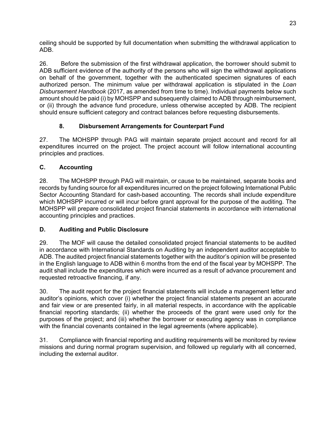ceiling should be supported by full documentation when submitting the withdrawal application to ADB.

26. Before the submission of the first withdrawal application, the borrower should submit to ADB sufficient evidence of the authority of the persons who will sign the withdrawal applications on behalf of the government, together with the authenticated specimen signatures of each authorized person. The minimum value per withdrawal application is stipulated in the *Loan Disbursement Handbook* (2017, as amended from time to time). Individual payments below such amount should be paid (i) by MOHSPP and subsequently claimed to ADB through reimbursement, or (ii) through the advance fund procedure, unless otherwise accepted by ADB. The recipient should ensure sufficient category and contract balances before requesting disbursements.

### **8. Disbursement Arrangements for Counterpart Fund**

27. The MOHSPP through PAG will maintain separate project account and record for all expenditures incurred on the project. The project account will follow international accounting principles and practices.

### <span id="page-28-0"></span>**C. Accounting**

28. The MOHSPP through PAG will maintain, or cause to be maintained, separate books and records by funding source for all expenditures incurred on the project following International Public Sector Accounting Standard for cash-based accounting. The records shall include expenditure which MOHSPP incurred or will incur before grant approval for the purpose of the auditing. The MOHSPP will prepare consolidated project financial statements in accordance with international accounting principles and practices.

### <span id="page-28-1"></span>**D. Auditing and Public Disclosure**

29. The MOF will cause the detailed consolidated project financial statements to be audited in accordance with International Standards on Auditing by an independent auditor acceptable to ADB. The audited project financial statements together with the auditor's opinion will be presented in the English language to ADB within 6 months from the end of the fiscal year by MOHSPP. The audit shall include the expenditures which were incurred as a result of advance procurement and requested retroactive financing, if any.

30. The audit report for the project financial statements will include a management letter and auditor's opinions, which cover (i) whether the project financial statements present an accurate and fair view or are presented fairly, in all material respects, in accordance with the applicable financial reporting standards; (ii) whether the proceeds of the grant were used only for the purposes of the project; and (iii) whether the borrower or executing agency was in compliance with the financial covenants contained in the legal agreements (where applicable).

31. Compliance with financial reporting and auditing requirements will be monitored by review missions and during normal program supervision, and followed up regularly with all concerned, including the external auditor.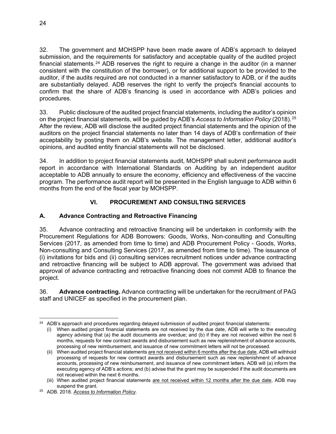32. The government and MOHSPP have been made aware of ADB's approach to delayed submission, and the requirements for satisfactory and acceptable quality of the audited project financial statements.<sup>[24](#page-29-2)</sup> ADB reserves the right to require a change in the auditor (in a manner consistent with the constitution of the borrower), or for additional support to be provided to the auditor, if the audits required are not conducted in a manner satisfactory to ADB, or if the audits are substantially delayed. ADB reserves the right to verify the project's financial accounts to confirm that the share of ADB's financing is used in accordance with ADB's policies and procedures.

33. Public disclosure of the audited project financial statements, including the auditor's opinion on the project financial statements, will be guided by ADB's *Access to Information Policy* (2018). [25](#page-29-3) After the review, ADB will disclose the audited project financial statements and the opinion of the auditors on the project financial statements no later than 14 days of ADB's confirmation of their acceptability by posting them on ADB's website. The management letter, additional auditor's opinions, and audited entity financial statements will not be disclosed.

34. In addition to project financial statements audit, MOHSPP shall submit performance audit report in accordance with International Standards on Auditing by an independent auditor acceptable to ADB annually to ensure the economy, efficiency and effectiveness of the vaccine program. The performance audit report will be presented in the English language to ADB within 6 months from the end of the fiscal year by MOHSPP.

### **VI. PROCUREMENT AND CONSULTING SERVICES**

### <span id="page-29-1"></span><span id="page-29-0"></span>**A. Advance Contracting and Retroactive Financing**

35. Advance contracting and retroactive financing will be undertaken in conformity with the Procurement Regulations for ADB Borrowers: Goods, Works, Non-consulting and Consulting Services (2017, as amended from time to time) and ADB Procurement Policy - Goods, Works, Non-consulting and Consulting Services (2017, as amended from time to time). The issuance of (i) invitations for bids and (ii) consulting services recruitment notices under advance contracting and retroactive financing will be subject to ADB approval. The government was advised that approval of advance contracting and retroactive financing does not commit ADB to finance the project.

36. **Advance contracting.** Advance contracting will be undertaken for the recruitment of PAG staff and UNICEF as specified in the procurement plan.

<span id="page-29-2"></span><sup>&</sup>lt;sup>24</sup> ADB's approach and procedures regarding delayed submission of audited project financial statements:

<sup>(</sup>i) When audited project financial statements are not received by the due date, ADB will write to the executing agency advising that (a) the audit documents are overdue; and (b) if they are not received within the next 6 months, requests for new contract awards and disbursement such as new replenishment of advance accounts, processing of new reimbursement, and issuance of new commitment letters will not be processed.

<sup>(</sup>ii) When audited project financial statements are not received within 6 months after the due date, ADB will withhold processing of requests for new contract awards and disbursement such as new replenishment of advance accounts, processing of new reimbursement, and issuance of new commitment letters. ADB will (a) inform the executing agency of ADB's actions; and (b) advise that the grant may be suspended if the audit documents are not received within the next 6 months.

<sup>(</sup>iii) When audited project financial statements are not received within 12 months after the due date, ADB may suspend the grant.

<span id="page-29-3"></span><sup>25</sup> ADB. 2018. *[Access to Information Policy](https://www.adb.org/documents/access-information-policy)*.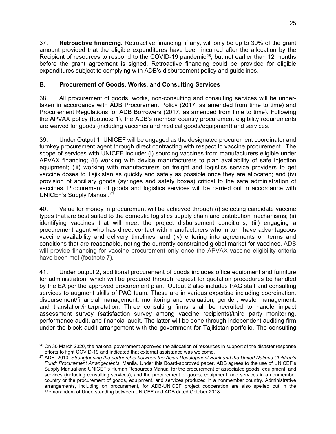37. **Retroactive financing.** Retroactive financing, if any, will only be up to 30% of the grant amount provided that the eligible expenditures have been incurred after the allocation by the Recipient of resources to respond to the COVID-19 pandemic<sup>[26](#page-30-1)</sup>, but not earlier than 12 months before the grant agreement is signed. Retroactive financing could be provided for eligible expenditures subject to complying with ADB's disbursement policy and guidelines.

### <span id="page-30-0"></span>**B. Procurement of Goods, Works, and Consulting Services**

38. All procurement of goods, works, non-consulting and consulting services will be undertaken in accordance with ADB Procurement Policy (2017, as amended from time to time) and Procurement Regulations for ADB Borrowers (2017, as amended from time to time). Following the APVAX policy (footnote 1), the ADB's member country procurement eligibility requirements are waived for goods (including vaccines and medical goods/equipment) and services.

39. Under Output 1, UNICEF will be engaged as the designated procurement coordinator and turnkey procurement agent through direct contracting with respect to vaccine procurement. The scope of services with UNICEF include: (i) sourcing vaccines from manufacturers eligible under APVAX financing; (ii) working with device manufacturers to plan availability of safe injection equipment; (iii) working with manufacturers on freight and logistics service providers to get vaccine doses to Tajikistan as quickly and safely as possible once they are allocated; and (iv) provision of ancillary goods (syringes and safety boxes) critical to the safe administration of vaccines. Procurement of goods and logistics services will be carried out in accordance with UNICEF's Supply Manual. [27](#page-30-2)

40. Value for money in procurement will be achieved through (i) selecting candidate vaccine types that are best suited to the domestic logistics supply chain and distribution mechanisms; (ii) identifying vaccines that will meet the project disbursement conditions; (iii) engaging a procurement agent who has direct contact with manufacturers who in turn have advantageous vaccine availability and delivery timelines, and (iv) entering into agreements on terms and conditions that are reasonable, noting the currently constrained global market for vaccines. ADB will provide financing for vaccine procurement only once the APVAX vaccine eligibility criteria have been met (footnote [7\)](#page-6-10).

41. Under output 2, additional procurement of goods includes office equipment and furniture for administration, which will be procured through request for quotation procedures be handled by the EA per the approved procurement plan. Output 2 also includes PAG staff and consulting services to augment skills of PAG team. These are in various expertise including coordination, disbursement/financial management, monitoring and evaluation, gender, waste management, and translation/interpretation. Three consulting firms shall be recruited to handle impact assessment survey (satisfaction survey among vaccine recipients)/third party monitoring, performance audit, and financial audit. The latter will be done through independent auditing firm under the block audit arrangement with the government for Tajikistan portfolio. The consulting

<span id="page-30-1"></span> $26$  On 30 March 2020, the national government approved the allocation of resources in support of the disaster response efforts to fight COVID-19 and indicated that external assistance was welcome.

<span id="page-30-2"></span><sup>27</sup> ADB. 2010. *Strengthening the partnership between the Asian Development Bank and the United Nations Children's Fund: Procurement Arrangements*. Manila. Under this Board-approved paper, ADB agrees to the use of UNICEF's Supply Manual and UNICEF's Human Resources Manual for the procurement of associated goods, equipment, and services (including consulting services); and the procurement of goods, equipment, and services in a nonmember country or the procurement of goods, equipment, and services produced in a nonmember country. Administrative arrangements, including on procurement, for ADB-UNICEF project cooperation are also spelled out in the Memorandum of Understanding between UNICEF and ADB dated October 2018.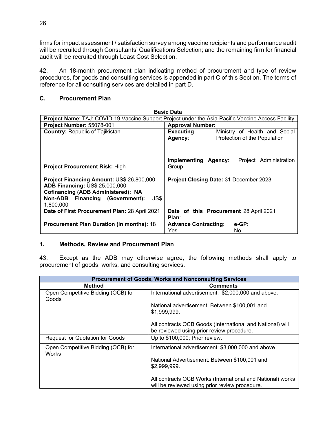firms for impact assessment / satisfaction survey among vaccine recipients and performance audit will be recruited through Consultants' Qualifications Selection; and the remaining firm for financial audit will be recruited through Least Cost Selection.

42. An 18-month procurement plan indicating method of procurement and type of review procedures, for goods and consulting services is appended in part C of this Section. The terms of reference for all consulting services are detailed in part D.

### <span id="page-31-0"></span>**C. Procurement Plan**

| <b>Basic Data</b>                                                                                  |                                        |                               |  |  |  |  |  |  |
|----------------------------------------------------------------------------------------------------|----------------------------------------|-------------------------------|--|--|--|--|--|--|
| Project Name: TAJ: COVID-19 Vaccine Support Project under the Asia-Pacific Vaccine Access Facility |                                        |                               |  |  |  |  |  |  |
| Project Number: 55078-001                                                                          | <b>Approval Number:</b>                |                               |  |  |  |  |  |  |
| <b>Country: Republic of Tajikistan</b>                                                             | <b>Executing</b>                       | Ministry of Health and Social |  |  |  |  |  |  |
|                                                                                                    | Agency:                                | Protection of the Population  |  |  |  |  |  |  |
|                                                                                                    |                                        |                               |  |  |  |  |  |  |
|                                                                                                    |                                        |                               |  |  |  |  |  |  |
|                                                                                                    | Implementing Agency:                   | Project Administration        |  |  |  |  |  |  |
| <b>Project Procurement Risk: High</b>                                                              | Group                                  |                               |  |  |  |  |  |  |
|                                                                                                    |                                        |                               |  |  |  |  |  |  |
| Project Financing Amount: US\$ 26,800,000                                                          | Project Closing Date: 31 December 2023 |                               |  |  |  |  |  |  |
| <b>ADB Financing: US\$ 25,000,000</b>                                                              |                                        |                               |  |  |  |  |  |  |
| <b>Cofinancing (ADB Administered): NA</b>                                                          |                                        |                               |  |  |  |  |  |  |
| Non-ADB Financing (Government):<br>US\$                                                            |                                        |                               |  |  |  |  |  |  |
| 1,800,000                                                                                          |                                        |                               |  |  |  |  |  |  |
| Date of First Procurement Plan: 28 April 2021                                                      | Date of this Procurement 28 April 2021 |                               |  |  |  |  |  |  |
|                                                                                                    | Plan:                                  |                               |  |  |  |  |  |  |
| <b>Procurement Plan Duration (in months): 18</b>                                                   | <b>Advance Contracting:</b>            | e-GP:                         |  |  |  |  |  |  |
|                                                                                                    | Yes                                    | No                            |  |  |  |  |  |  |

### **1. Methods, Review and Procurement Plan**

43. Except as the ADB may otherwise agree, the following methods shall apply to procurement of goods, works, and consulting services.

|                                             | <b>Procurement of Goods, Works and Nonconsulting Services</b>                                                |
|---------------------------------------------|--------------------------------------------------------------------------------------------------------------|
| <b>Method</b>                               | <b>Comments</b>                                                                                              |
| Open Competitive Bidding (OCB) for<br>Goods | International advertisement: \$2,000,000 and above;                                                          |
|                                             | National advertisement: Between \$100,001 and<br>\$1,999,999.                                                |
|                                             | All contracts OCB Goods (International and National) will<br>be reviewed using prior review procedure.       |
| <b>Request for Quotation for Goods</b>      | Up to \$100,000; Prior review.                                                                               |
| Open Competitive Bidding (OCB) for<br>Works | International advertisement: \$3,000,000 and above.                                                          |
|                                             | National Advertisement: Between \$100,001 and<br>\$2,999,999.                                                |
|                                             | All contracts OCB Works (International and National) works<br>will be reviewed using prior review procedure. |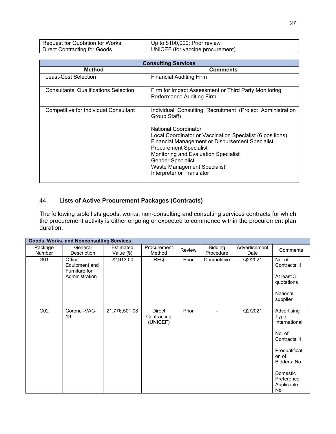| <b>Request for Quotation for Works</b> | Up to \$100,000; Prior review    |
|----------------------------------------|----------------------------------|
| <b>Direct Contracting for Goods</b>    | UNICEF (for vaccine procurement) |

| <b>Consulting Services</b>                   |                                                                                                                                                                                                                                                                                                                                                                                           |  |  |  |  |  |  |
|----------------------------------------------|-------------------------------------------------------------------------------------------------------------------------------------------------------------------------------------------------------------------------------------------------------------------------------------------------------------------------------------------------------------------------------------------|--|--|--|--|--|--|
| Method                                       | <b>Comments</b>                                                                                                                                                                                                                                                                                                                                                                           |  |  |  |  |  |  |
| Least-Cost Selection                         | <b>Financial Auditing Firm</b>                                                                                                                                                                                                                                                                                                                                                            |  |  |  |  |  |  |
| <b>Consultants' Qualifications Selection</b> | Firm for Impact Assessment or Third Party Monitoring<br>Performance Auditing Firm                                                                                                                                                                                                                                                                                                         |  |  |  |  |  |  |
| <b>Competitive for Individual Consultant</b> | Individual Consulting Recruitment (Project Administration<br>Group Staff)<br>National Coordinator<br>Local Coordinator or Vaccination Specialist (6 positions)<br><b>Financial Management or Disbursement Specialist</b><br><b>Procurement Specialist</b><br>Monitoring and Evaluation Specialist<br><b>Gender Specialist</b><br>Waste Management Specialist<br>Interpreter or Translator |  |  |  |  |  |  |

### 44. **Lists of Active Procurement Packages (Contracts)**

The following table lists goods, works, non-consulting and consulting services contracts for which the procurement activity is either ongoing or expected to commence within the procurement plan duration.

|                   | <b>Goods, Works, and Nonconsulting Services</b>            |                         |                                          |        |                      |                       |                                                                                                                                                          |  |  |  |
|-------------------|------------------------------------------------------------|-------------------------|------------------------------------------|--------|----------------------|-----------------------|----------------------------------------------------------------------------------------------------------------------------------------------------------|--|--|--|
| Package<br>Number | General<br>Description                                     | Estimated<br>Value (\$) | Procurement<br>Method                    | Review | Bidding<br>Procedure | Advertisement<br>Date | Comments                                                                                                                                                 |  |  |  |
| G01               | Office<br>Equipment and<br>Furniture for<br>Administration | 22,913.00               | <b>RFQ</b>                               | Prior  | Competitive          | Q2/2021               | No. of<br>Contracts: 1<br>At least 3<br>quotations<br>National<br>supplier                                                                               |  |  |  |
| G02               | Corona - VAC-<br>19                                        | 21,776,501.08           | <b>Direct</b><br>Contracting<br>(UNICEF) | Prior  |                      | Q2/2021               | Advertising<br>Type:<br>International<br>No. of<br>Contracts: 1<br>Prequalificati<br>on of<br>Bidders: No<br>Domestic<br>Preference<br>Applicable:<br>No |  |  |  |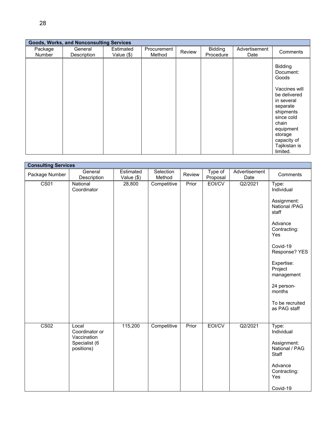|                          | <b>Goods, Works, and Nonconsulting Services</b> |                           |                       |        |                      |                       |                                                                                                                                                                                                  |
|--------------------------|-------------------------------------------------|---------------------------|-----------------------|--------|----------------------|-----------------------|--------------------------------------------------------------------------------------------------------------------------------------------------------------------------------------------------|
| Package<br><b>Number</b> | General<br>Description                          | Estimated<br>Value $(\$)$ | Procurement<br>Method | Review | Bidding<br>Procedure | Advertisement<br>Date | Comments                                                                                                                                                                                         |
|                          |                                                 |                           |                       |        |                      |                       | Bidding<br>Document:<br>Goods<br>Vaccines will<br>be delivered<br>in several<br>separate<br>shipments<br>since cold<br>chain<br>equipment<br>storage<br>capacity of<br>Tajikistan is<br>limited. |

| <b>Consulting Services</b> |                                        |                          |                     |        |                     |                       |                                        |
|----------------------------|----------------------------------------|--------------------------|---------------------|--------|---------------------|-----------------------|----------------------------------------|
| Package Number             | General<br>Description                 | Estimated<br>Value $($)$ | Selection<br>Method | Review | Type of<br>Proposal | Advertisement<br>Date | Comments                               |
| CS <sub>01</sub>           | National<br>Coordinator                | 28,800                   | Competitive         | Prior  | EOI/CV              | $Q\overline{2/2021}$  | Type:<br>Individual                    |
|                            |                                        |                          |                     |        |                     |                       | Assignment:<br>National /PAG<br>staff  |
|                            |                                        |                          |                     |        |                     |                       | Advance<br>Contracting:<br>Yes         |
|                            |                                        |                          |                     |        |                     |                       | Covid-19<br>Response? YES              |
|                            |                                        |                          |                     |        |                     |                       | Expertise:<br>Project<br>management    |
|                            |                                        |                          |                     |        |                     |                       | 24 person-<br>months                   |
|                            |                                        |                          |                     |        |                     |                       | To be recruited<br>as PAG staff        |
| $\overline{\text{CS}02}$   | Local<br>Coordinator or<br>Vaccination | 115,200                  | Competitive         | Prior  | EOI/CV              | Q2/2021               | Type:<br>Individual                    |
|                            | Specialist (6<br>positions)            |                          |                     |        |                     |                       | Assignment:<br>National / PAG<br>Staff |
|                            |                                        |                          |                     |        |                     |                       | Advance<br>Contracting:<br>Yes         |
|                            |                                        |                          |                     |        |                     |                       | Covid-19                               |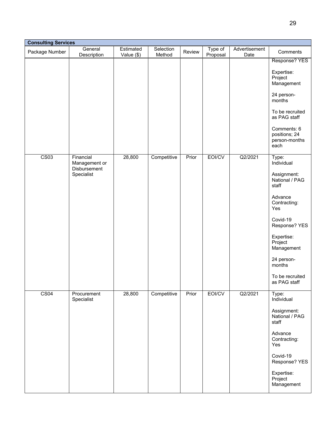| <b>Consulting Services</b> |                                                          |                         |                     |        |                     |                       |                                                                                                                                                                                                                                |
|----------------------------|----------------------------------------------------------|-------------------------|---------------------|--------|---------------------|-----------------------|--------------------------------------------------------------------------------------------------------------------------------------------------------------------------------------------------------------------------------|
| Package Number             | General<br>Description                                   | Estimated<br>Value (\$) | Selection<br>Method | Review | Type of<br>Proposal | Advertisement<br>Date | Comments                                                                                                                                                                                                                       |
|                            |                                                          |                         |                     |        |                     |                       | Response? YES<br>Expertise:<br>Project<br>Management<br>24 person-<br>months<br>To be recruited<br>as PAG staff<br>Comments: 6<br>positions; 24<br>person-months<br>each                                                       |
| CS <sub>03</sub>           | Financial<br>Management or<br>Disbursement<br>Specialist | 28,800                  | Competitive         | Prior  | EOI/CV              | Q2/2021               | Type:<br>Individual<br>Assignment:<br>National / PAG<br>staff<br>Advance<br>Contracting:<br>Yes<br>Covid-19<br>Response? YES<br>Expertise:<br>Project<br>Management<br>24 person-<br>months<br>To be recruited<br>as PAG staff |
| CS <sub>04</sub>           | Procurement<br>Specialist                                | 28,800                  | Competitive         | Prior  | EOI/CV              | Q2/2021               | Type:<br>Individual<br>Assignment:<br>National / PAG<br>staff<br>Advance<br>Contracting:<br>Yes<br>Covid-19<br>Response? YES<br>Expertise:<br>Project<br>Management                                                            |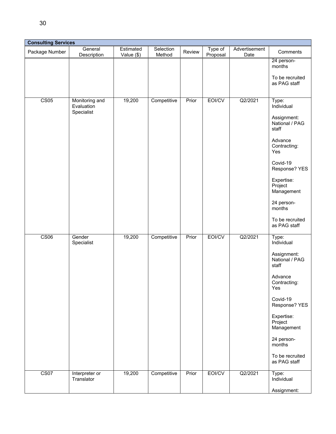| <b>Consulting Services</b> |                                            |                         |                     |        |                     |                       |                                                                                                                                                                                                                                              |
|----------------------------|--------------------------------------------|-------------------------|---------------------|--------|---------------------|-----------------------|----------------------------------------------------------------------------------------------------------------------------------------------------------------------------------------------------------------------------------------------|
| Package Number             | General<br>Description                     | Estimated<br>Value (\$) | Selection<br>Method | Review | Type of<br>Proposal | Advertisement<br>Date | Comments                                                                                                                                                                                                                                     |
|                            |                                            |                         |                     |        |                     |                       | 24 person-<br>months<br>To be recruited<br>as PAG staff                                                                                                                                                                                      |
| CS05                       | Monitoring and<br>Evaluation<br>Specialist | 19,200                  | Competitive         | Prior  | EOI/CV              | Q2/2021               | $\overline{Type}$ :<br>Individual<br>Assignment:<br>National / PAG<br>staff<br>Advance<br>Contracting:<br>Yes<br>Covid-19<br>Response? YES<br>Expertise:<br>Project<br>Management<br>24 person-<br>months<br>To be recruited<br>as PAG staff |
| CS06                       | Gender<br>Specialist                       | 19,200                  | Competitive         | Prior  | EOI/CV              | Q2/2021               | Type:<br>Individual<br>Assignment:<br>National / PAG<br>staff<br>Advance<br>Contracting:<br>Yes<br>Covid-19<br>Response? YES<br>Expertise:<br>Project<br>Management<br>24 person-<br>months<br>To be recruited<br>as PAG staff               |
| CS <sub>07</sub>           | Interpreter or<br>Translator               | 19,200                  | Competitive         | Prior  | EOI/CV              | Q2/2021               | Type:<br>Individual<br>Assignment:                                                                                                                                                                                                           |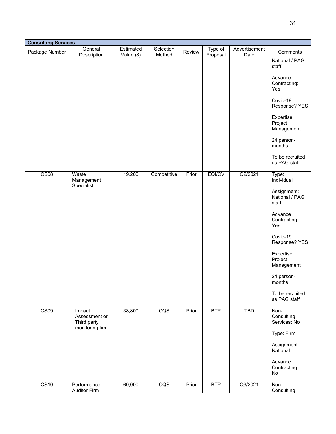| <b>Consulting Services</b> |                                                           |                         |                     |        |                     |                       |                                                                                                                                                                                                                                |  |
|----------------------------|-----------------------------------------------------------|-------------------------|---------------------|--------|---------------------|-----------------------|--------------------------------------------------------------------------------------------------------------------------------------------------------------------------------------------------------------------------------|--|
| Package Number             | General<br>Description                                    | Estimated<br>Value (\$) | Selection<br>Method | Review | Type of<br>Proposal | Advertisement<br>Date | Comments                                                                                                                                                                                                                       |  |
|                            |                                                           |                         |                     |        |                     |                       | National / PAG<br>staff<br>Advance<br>Contracting:<br>Yes<br>Covid-19<br>Response? YES<br>Expertise:<br>Project<br>Management<br>24 person-<br>months<br>To be recruited<br>as PAG staff                                       |  |
| CS <sub>08</sub>           | Waste<br>Management<br>Specialist                         | 19,200                  | Competitive         | Prior  | EOI/CV              | Q2/2021               | Type:<br>Individual<br>Assignment:<br>National / PAG<br>staff<br>Advance<br>Contracting:<br>Yes<br>Covid-19<br>Response? YES<br>Expertise:<br>Project<br>Management<br>24 person-<br>months<br>To be recruited<br>as PAG staff |  |
| CS09                       | Impact<br>Assessment or<br>Third party<br>monitoring firm | 38,800                  | $\overline{CQS}$    | Prior  | <b>BTP</b>          | <b>TBD</b>            | Non-<br>Consulting<br>Services: No<br>Type: Firm<br>Assignment:<br>National<br>Advance<br>Contracting:<br>No                                                                                                                   |  |
| CS <sub>10</sub>           | Performance<br><b>Auditor Firm</b>                        | 60,000                  | CQS                 | Prior  | <b>BTP</b>          | Q3/2021               | Non-<br>Consulting                                                                                                                                                                                                             |  |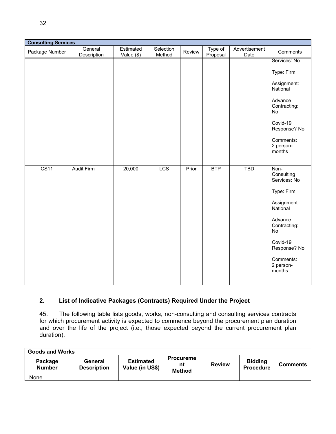|                  | <b>Consulting Services</b> |                         |                     |        |                     |                       |                                  |  |
|------------------|----------------------------|-------------------------|---------------------|--------|---------------------|-----------------------|----------------------------------|--|
| Package Number   | General<br>Description     | Estimated<br>Value (\$) | Selection<br>Method | Review | Type of<br>Proposal | Advertisement<br>Date | Comments                         |  |
|                  |                            |                         |                     |        |                     |                       | Services: No                     |  |
|                  |                            |                         |                     |        |                     |                       | Type: Firm                       |  |
|                  |                            |                         |                     |        |                     |                       | Assignment:<br>National          |  |
|                  |                            |                         |                     |        |                     |                       | Advance<br>Contracting:<br>No    |  |
|                  |                            |                         |                     |        |                     |                       | Covid-19<br>Response? No         |  |
|                  |                            |                         |                     |        |                     |                       | Comments:<br>2 person-<br>months |  |
| CS <sub>11</sub> | <b>Audit Firm</b>          | 20,000                  | LCS                 | Prior  | <b>BTP</b>          | <b>TBD</b>            | Non-                             |  |
|                  |                            |                         |                     |        |                     |                       | Consulting<br>Services: No       |  |
|                  |                            |                         |                     |        |                     |                       | Type: Firm                       |  |
|                  |                            |                         |                     |        |                     |                       | Assignment:<br>National          |  |
|                  |                            |                         |                     |        |                     |                       | Advance<br>Contracting:<br>No    |  |
|                  |                            |                         |                     |        |                     |                       | Covid-19<br>Response? No         |  |
|                  |                            |                         |                     |        |                     |                       | Comments:<br>2 person-<br>months |  |
|                  |                            |                         |                     |        |                     |                       |                                  |  |

### **2. List of Indicative Packages (Contracts) Required Under the Project**

45. The following table lists goods, works, non-consulting and consulting services contracts for which procurement activity is expected to commence beyond the procurement plan duration and over the life of the project (i.e., those expected beyond the current procurement plan duration).

| <b>Goods and Works</b>   |                               |                                     |                                         |               |                                    |                 |  |  |
|--------------------------|-------------------------------|-------------------------------------|-----------------------------------------|---------------|------------------------------------|-----------------|--|--|
| Package<br><b>Number</b> | General<br><b>Description</b> | <b>Estimated</b><br>Value (in US\$) | <b>Procureme</b><br>nt<br><b>Method</b> | <b>Review</b> | <b>Bidding</b><br><b>Procedure</b> | <b>Comments</b> |  |  |
| None                     |                               |                                     |                                         |               |                                    |                 |  |  |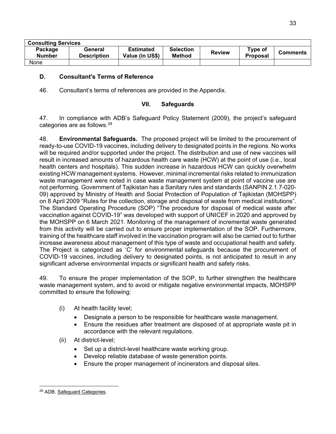| <b>Consulting Services</b> |                               |                                     |                                   |               |                            |                 |  |  |
|----------------------------|-------------------------------|-------------------------------------|-----------------------------------|---------------|----------------------------|-----------------|--|--|
| Package<br><b>Number</b>   | General<br><b>Description</b> | <b>Estimated</b><br>Value (in US\$) | <b>Selection</b><br><b>Method</b> | <b>Review</b> | Type of<br><b>Proposal</b> | <b>Comments</b> |  |  |
| None                       |                               |                                     |                                   |               |                            |                 |  |  |

### <span id="page-38-0"></span>**D. Consultant's Terms of Reference**

46. Consultant's terms of references are provided in the Appendix.

### **VII. Safeguards**

<span id="page-38-1"></span>47. In compliance with ADB's Safeguard Policy Statement (2009), the project's safeguard categories are as follows.[28](#page-38-2)

48. **Environmental Safeguards.** The proposed project will be limited to the procurement of ready-to-use COVID-19 vaccines, including delivery to designated points in the regions. No works will be required and/or supported under the project. The distribution and use of new vaccines will result in increased amounts of hazardous health care waste (HCW) at the point of use (i.e., local health centers and hospitals). This sudden increase in hazardous HCW can quickly overwhelm existing HCW management systems. However, minimal incremental risks related to immunization waste management were noted in case waste management system at point of vaccine use are not performing. Government of Tajikistan has a Sanitary rules and standards (SANPIN 2.1.7-020- 09) approved by Ministry of Health and Social Protection of Population of Tajikistan (MOHSPP) on 8 April 2009 "Rules for the collection, storage and disposal of waste from medical institutions". The Standard Operating Procedure (SOP) "The procedure for disposal of medical waste after vaccination against COVID-19" was developed with support of UNICEF in 2020 and approved by the MOHSPP on 6 March 2021. Monitoring of the management of incremental waste generated from this activity will be carried out to ensure proper implementation of the SOP. Furthermore, training of the healthcare staff involved in the vaccination program will also be carried out to further increase awareness about management of this type of waste and occupational health and safety. The Project is categorized as 'C' for environmental safeguards because the procurement of COVID-19 vaccines, including delivery to designated points, is not anticipated to result in any significant adverse environmental impacts or significant health and safety risks.

49. To ensure the proper implementation of the SOP, to further strengthen the healthcare waste management system, and to avoid or mitigate negative environmental impacts, MOHSPP committed to ensure the following:

- (i) At health facility level;
	- Designate a person to be responsible for healthcare waste management.
	- Ensure the residues after treatment are disposed of at appropriate waste pit in accordance with the relevant regulations.
- (ii) At district-level;
	- Set up a district-level healthcare waste working group.
	- Develop reliable database of waste generation points.
	- Ensure the proper management of incinerators and disposal sites.

<span id="page-38-2"></span><sup>28</sup> ADB. [Safeguard Categories.](https://www.adb.org/site/safeguards/safeguard-categories)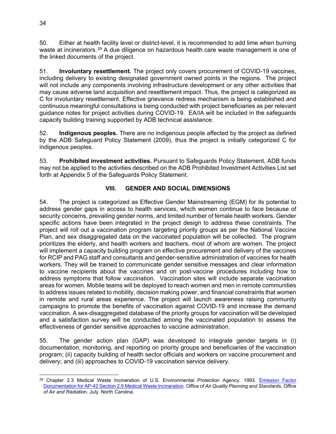50. Either at health facility level or district-level, it is recommended to add lime when burning waste at incinerators.<sup>[29](#page-39-1)</sup> A due diligence on hazardous health care waste management is one of the linked documents of the project.

51. **Involuntary resettlement.** The project only covers procurement of COVID-19 vaccines, including delivery to existing designated government owned points in the regions. The project will not include any components involving infrastructure development or any other activities that may cause adverse land acquisition and resettlement impact. Thus, the project is categorized as C for involuntary resettlement. Effective grievance redress mechanism is being established and continuous meaningful consultations is being conducted with project beneficiaries as per relevant guidance notes for project activities during COVID-19. EA/IA will be included in the safeguards capacity building training supported by ADB technical assistance.

52. **Indigenous peoples.** There are no indigenous people affected by the project as defined by the ADB Safeguard Policy Statement (2009), thus the project is initially categorized C for indigenous peoples.

53. **Prohibited investment activities.** Pursuant to Safeguards Policy Statement, ADB funds may not be applied to the activities described on the ADB Prohibited Investment Activities List set forth at Appendix 5 of the Safeguards Policy Statement.

### **VIII. GENDER AND SOCIAL DIMENSIONS**

<span id="page-39-0"></span>54. The project is categorized as Effective Gender Mainstreaming (EGM) for its potential to address gender gaps in access to health services, which women continue to face because of security concerns, prevailing gender norms, and limited number of female health workers. Gender specific actions have been integrated in the project design to address these constraints. The project will roll out a vaccination program targeting priority groups as per the National Vaccine Plan, and sex disaggregated data on the vaccinated population will be collected. The program prioritizes the elderly, and health workers and teachers, most of whom are women. The project will implement a capacity building program on effective procurement and delivery of the vaccines for RCIP and PAG staff and consultants and gender-sensitive administration of vaccines for health workers. They will be trained to communicate gender sensitive messages and clear information to vaccine recipients about the vaccines and on post-vaccine procedures including how to address symptoms that follow vaccination. Vaccination sites will include separate vaccination areas for women. Mobile teams will be deployed to reach women and men in remote communities to address issues related to mobility, decision making power, and financial constraints that women in remote and rural areas experience. The project will launch awareness raising community campaigns to promote the benefits of vaccination against COVID-19 and increase the demand vaccination. A sex-disaggregated database of the priority groups for vaccination will be developed and a satisfaction survey will be conducted among the vaccinated population to assess the effectiveness of gender sensitive approaches to vaccine administration.

55. The gender action plan (GAP) was developed to integrate gender targets in (i) documentation, monitoring, and reporting on priority groups and beneficiaries of the vaccination program; (ii) capacity building of health sector officials and workers on vaccine procurement and delivery; and (iii) approaches to COVID-19 vaccination service delivery.

<span id="page-39-1"></span><sup>29</sup> Chapter 2.3 Medical Waste Incineration of U.S. Environmental Protection Agency. 1993. [Emission Factor](https://www3.epa.gov/ttn/chief/ap42/ch02/bgdocs/b02s03.pdf)  [Documentation for AP-42 Section 2.6 Medical Waste Incineration.](https://www3.epa.gov/ttn/chief/ap42/ch02/bgdocs/b02s03.pdf) *Office of Air Quality Planning and Standards, Office of Air and Radiatio*n. July. North Carolina.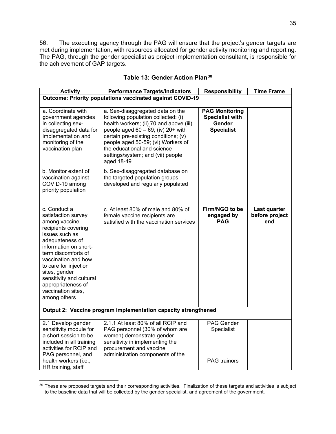56. The executing agency through the PAG will ensure that the project's gender targets are met during implementation, with resources allocated for gender activity monitoring and reporting. The PAG, through the gender specialist as project implementation consultant, is responsible for the achievement of GAP targets.

| <b>Activity</b>                                                                                                                                                                                                                                                                                                           | <b>Performance Targets/Indicators</b>                                                                                                                                                                                                                                                                                         | <b>Responsibility</b>                                                          | <b>Time Frame</b>                     |
|---------------------------------------------------------------------------------------------------------------------------------------------------------------------------------------------------------------------------------------------------------------------------------------------------------------------------|-------------------------------------------------------------------------------------------------------------------------------------------------------------------------------------------------------------------------------------------------------------------------------------------------------------------------------|--------------------------------------------------------------------------------|---------------------------------------|
|                                                                                                                                                                                                                                                                                                                           | <b>Outcome: Priority populations vaccinated against COVID-19</b>                                                                                                                                                                                                                                                              |                                                                                |                                       |
| a. Coordinate with<br>government agencies<br>in collecting sex-<br>disaggregated data for<br>implementation and<br>monitoring of the<br>vaccination plan                                                                                                                                                                  | a. Sex-disaggregated data on the<br>following population collected: (i)<br>health workers; (ii) 70 and above (iii)<br>people aged $60 - 69$ ; (iv) $20+$ with<br>certain pre-existing conditions; (v)<br>people aged 50-59; (vi) Workers of<br>the educational and science<br>settings/system; and (vii) people<br>aged 18-49 | <b>PAG Monitoring</b><br><b>Specialist with</b><br>Gender<br><b>Specialist</b> |                                       |
| b. Monitor extent of<br>vaccination against<br>COVID-19 among<br>priority population                                                                                                                                                                                                                                      | b. Sex-disaggregated database on<br>the targeted population groups<br>developed and regularly populated                                                                                                                                                                                                                       |                                                                                |                                       |
| c. Conduct a<br>satisfaction survey<br>among vaccine<br>recipients covering<br>issues such as<br>adequateness of<br>information on short-<br>term discomforts of<br>vaccination and how<br>to care for injection<br>sites, gender<br>sensitivity and cultural<br>appropriateness of<br>vaccination sites,<br>among others | c. At least 80% of male and 80% of<br>female vaccine recipients are<br>satisfied with the vaccination services                                                                                                                                                                                                                | Firm/NGO to be<br>engaged by<br><b>PAG</b>                                     | Last quarter<br>before project<br>end |
|                                                                                                                                                                                                                                                                                                                           | Output 2: Vaccine program implementation capacity strengthened                                                                                                                                                                                                                                                                |                                                                                |                                       |
| 2.1 Develop gender<br>sensitivity module for<br>a short session to be<br>included in all training<br>activities for RCIP and<br>PAG personnel, and<br>health workers (i.e.,<br>HR training, staff                                                                                                                         | 2.1.1 At least 80% of all RCIP and<br>PAG personnel (30% of whom are<br>women) demonstrate gender<br>sensitivity in implementing the<br>procurement and vaccine<br>administration components of the                                                                                                                           | <b>PAG Gender</b><br>Specialist<br><b>PAG</b> trainors                         |                                       |

| Table 13: Gender Action Plan <sup>30</sup> |  |  |
|--------------------------------------------|--|--|
|--------------------------------------------|--|--|

<span id="page-40-0"></span><sup>&</sup>lt;sup>30</sup> These are proposed targets and their corresponding activities. Finalization of these targets and activities is subject to the baseline data that will be collected by the gender specialist, and agreement of the government.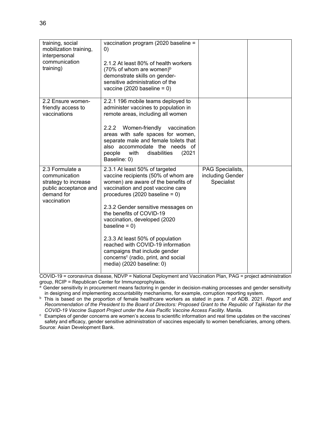| training, social<br>mobilization training,<br>interpersonal<br>communication<br>training)                      | vaccination program (2020 baseline =<br>$\left( 0\right)$<br>2.1.2 At least 80% of health workers<br>(70% of whom are women) $\rm^{b}$<br>demonstrate skills on gender-<br>sensitive administration of the<br>vaccine (2020 baseline = $0$ )                                                                                                                                                                                                                                                           |                                                    |  |
|----------------------------------------------------------------------------------------------------------------|--------------------------------------------------------------------------------------------------------------------------------------------------------------------------------------------------------------------------------------------------------------------------------------------------------------------------------------------------------------------------------------------------------------------------------------------------------------------------------------------------------|----------------------------------------------------|--|
| 2.2 Ensure women-<br>friendly access to<br>vaccinations                                                        | 2.2.1 196 mobile teams deployed to<br>administer vaccines to population in<br>remote areas, including all women<br>Women-friendly<br>2.2.2<br>vaccination<br>areas with safe spaces for women,<br>separate male and female toilets that<br>also accommodate the needs of<br>disabilities<br>people<br>with<br>(2021)<br>Baseline: 0)                                                                                                                                                                   |                                                    |  |
| 2.3 Formulate a<br>communication<br>strategy to increase<br>public acceptance and<br>demand for<br>vaccination | 2.3.1 At least 50% of targeted<br>vaccine recipients (50% of whom are<br>women) are aware of the benefits of<br>vaccination and post vaccine care<br>procedures (2020 baseline = $0$ )<br>2.3.2 Gender sensitive messages on<br>the benefits of COVID-19<br>vaccination, developed (2020<br>baseline = $0$ )<br>2.3.3 At least 50% of population<br>reached with COVID-19 information<br>campaigns that include gender<br>concerns <sup>c</sup> (radio, print, and social<br>media) (2020 baseline: 0) | PAG Specialists,<br>including Gender<br>Specialist |  |

COVID-19 = coronavirus disease, NDVP = National Deployment and Vaccination Plan, PAG = project administration group, RCIP = Republican Center for Immunoprophylaxis.

<sup>a</sup> Gender sensitivity in procurement means factoring in gender in decision-making processes and gender sensitivity in designing and implementing accountability mechanisms, for example, corruption reporting system.

<sup>b</sup> This is based on the proportion of female healthcare workers as stated in para. 7 of ADB. 2021. *Report and Recommendation of the President to the Board of Directors: Proposed Grant to the Republic of Tajikistan for the COVID-19 Vaccine Support Project under the Asia Pacific Vaccine Access Facility*. Manila.

c Examples of gender concerns are women's access to scientific information and real time updates on the vaccines' safety and efficacy, gender sensitive administration of vaccines especially to women beneficiaries, among others. Source: Asian Development Bank.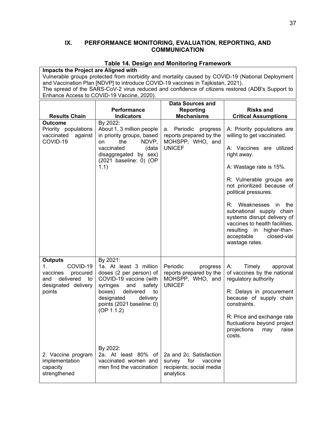#### <span id="page-42-0"></span>**IX. PERFORMANCE MONITORING, EVALUATION, REPORTING, AND COMMUNICATION**

#### **Table 14. Design and Monitoring Framework**

**Impacts the Project are Aligned with** Vulnerable groups protected from morbidity and mortality caused by COVID-19 (National Deployment and Vaccination Plan [NDVP] to introduce COVID-19 vaccines in Tajikistan, 2021). The spread of the SARS-CoV-2 virus reduced and confidence of citizens restored (ADB's Support to Enhance Access to COVID-19 Vaccine, 2020). **Results Chain Performance Indicators Data Sources and Reporting Mechanisms Risks and Critical Assumptions Outcome** By 2022: Priority populations vaccinated against COVID-19 About 1. 3 million people in priority groups, based on the NDVP, vaccinated (data disaggregated by sex) (2021 baseline: 0) (OP 1.1) a. Periodic progress reports prepared by the MOHSPP, WHO, and UNICEF A: Priority populations are willing to get vaccinated. A: Vaccines are utilized right away. A: Wastage rate is 15%. R: Vulnerable groups are not prioritized because of political pressures. R: Weaknesses in the subnational supply chain systems disrupt delivery of vaccines to health facilities, resulting in higher-thanacceptable closed-vial wastage rates. **Outputs** 1. COVID-19 vaccines procured and delivered to designated delivery points 2. Vaccine program implementation capacity strengthened By 2021: 1a. At least 3 million doses (2 per person) of COVID-19 vaccine (with syringes and safety boxes) delivered to designated delivery points (2021 baseline: 0)  $(OP 1.1.2)$ By 2022: 2a. At least 80% of vaccinated women and men find the vaccination Periodic progress reports prepared by the MOHSPP, WHO, and UNICEF 2a and 2c. Satisfaction survey for vaccine recipients; social media analytics A: Timely approval of vaccines by the national regulatory authority R: Delays in procurement because of supply chain constraints. R: Price and exchange rate fluctuations beyond project projections may raise costs.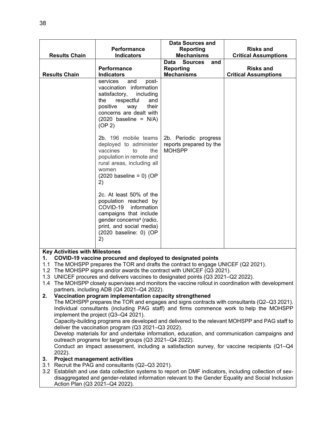|                                                                                                                                                                                                                                                                                                                                                                                                                                                                                                                                                                                                                                                                                                                                                                                                                                                                                                                           | Performance                                                                                                                                                                                                                                                                                 | <b>Data Sources and</b><br><b>Reporting</b>                       | <b>Risks and</b>                                                                                                                                                                                                                                                                                                                                                                                            |  |  |  |  |
|---------------------------------------------------------------------------------------------------------------------------------------------------------------------------------------------------------------------------------------------------------------------------------------------------------------------------------------------------------------------------------------------------------------------------------------------------------------------------------------------------------------------------------------------------------------------------------------------------------------------------------------------------------------------------------------------------------------------------------------------------------------------------------------------------------------------------------------------------------------------------------------------------------------------------|---------------------------------------------------------------------------------------------------------------------------------------------------------------------------------------------------------------------------------------------------------------------------------------------|-------------------------------------------------------------------|-------------------------------------------------------------------------------------------------------------------------------------------------------------------------------------------------------------------------------------------------------------------------------------------------------------------------------------------------------------------------------------------------------------|--|--|--|--|
| <b>Results Chain</b>                                                                                                                                                                                                                                                                                                                                                                                                                                                                                                                                                                                                                                                                                                                                                                                                                                                                                                      | <b>Indicators</b>                                                                                                                                                                                                                                                                           | <b>Mechanisms</b>                                                 | <b>Critical Assumptions</b>                                                                                                                                                                                                                                                                                                                                                                                 |  |  |  |  |
|                                                                                                                                                                                                                                                                                                                                                                                                                                                                                                                                                                                                                                                                                                                                                                                                                                                                                                                           |                                                                                                                                                                                                                                                                                             | Data<br><b>Sources</b><br>and                                     |                                                                                                                                                                                                                                                                                                                                                                                                             |  |  |  |  |
|                                                                                                                                                                                                                                                                                                                                                                                                                                                                                                                                                                                                                                                                                                                                                                                                                                                                                                                           | Performance                                                                                                                                                                                                                                                                                 | <b>Reporting</b>                                                  | <b>Risks and</b>                                                                                                                                                                                                                                                                                                                                                                                            |  |  |  |  |
| <b>Results Chain</b>                                                                                                                                                                                                                                                                                                                                                                                                                                                                                                                                                                                                                                                                                                                                                                                                                                                                                                      | <b>Indicators</b>                                                                                                                                                                                                                                                                           | <b>Mechanisms</b>                                                 | <b>Critical Assumptions</b>                                                                                                                                                                                                                                                                                                                                                                                 |  |  |  |  |
|                                                                                                                                                                                                                                                                                                                                                                                                                                                                                                                                                                                                                                                                                                                                                                                                                                                                                                                           | services<br>and<br>post-<br>vaccination information<br>satisfactory,<br>including<br>respectful<br>and<br>the<br>positive<br>way<br>their<br>concerns are dealt with<br>$(2020 \text{ baseline} = \text{N/A})$<br>(OP 2)                                                                    |                                                                   |                                                                                                                                                                                                                                                                                                                                                                                                             |  |  |  |  |
|                                                                                                                                                                                                                                                                                                                                                                                                                                                                                                                                                                                                                                                                                                                                                                                                                                                                                                                           | 2b. 196 mobile teams<br>deployed to administer<br>vaccines<br>to<br>the<br>population in remote and<br>rural areas, including all<br>women<br>$(2020 \text{ baseline} = 0)$ (OP<br>2)<br>2c. At least 50% of the<br>population reached by<br>COVID-19 information<br>campaigns that include | 2b. Periodic progress<br>reports prepared by the<br><b>MOHSPP</b> |                                                                                                                                                                                                                                                                                                                                                                                                             |  |  |  |  |
|                                                                                                                                                                                                                                                                                                                                                                                                                                                                                                                                                                                                                                                                                                                                                                                                                                                                                                                           | gender concerns <sup>a</sup> (radio,<br>print, and social media)<br>(2020 baseline: 0) (OP<br>2)                                                                                                                                                                                            |                                                                   |                                                                                                                                                                                                                                                                                                                                                                                                             |  |  |  |  |
| <b>Key Activities with Milestones</b><br>COVID-19 vaccine procured and deployed to designated points<br>1.<br>1.1 The MOHSPP prepares the TOR and drafts the contract to engage UNICEF (Q2 2021).<br>1.2 The MOHSPP signs and/or awards the contract with UNICEF (Q3 2021).<br>1.3 UNICEF procures and delivers vaccines to designated points (Q3 2021–Q2 2022).<br>1.4 The MOHSPP closely supervises and monitors the vaccine rollout in coordination with development<br>partners, including ADB (Q4 2021-Q4 2022).<br>Vaccination program implementation capacity strengthened<br>2.<br>The MOHSPP prepares the TOR and engages and signs contracts with consultants (Q2-Q3 2021).<br>Individual consultants (including PAG staff) and firms commence work to help the MOHSPP<br>implement the project (Q3-Q4 2021).<br>Capacity-building programs are developed and delivered to the relevant MOHSPP and PAG staff to |                                                                                                                                                                                                                                                                                             |                                                                   |                                                                                                                                                                                                                                                                                                                                                                                                             |  |  |  |  |
| 2022).<br>3.                                                                                                                                                                                                                                                                                                                                                                                                                                                                                                                                                                                                                                                                                                                                                                                                                                                                                                              | deliver the vaccination program (Q3 2021-Q3 2022).<br>outreach programs for target groups (Q3 2021-Q4 2022).<br><b>Project management activities</b><br>3.1 Recruit the PAG and consultants (Q2-Q3 2021).<br>Action Plan (Q3 2021-Q4 2022).                                                 |                                                                   | Develop materials for and undertake information, education, and communication campaigns and<br>Conduct an impact assessment, including a satisfaction survey, for vaccine recipients (Q1-Q4<br>3.2 Establish and use data collection systems to report on DMF indicators, including collection of sex-<br>disaggregated and gender-related information relevant to the Gender Equality and Social Inclusion |  |  |  |  |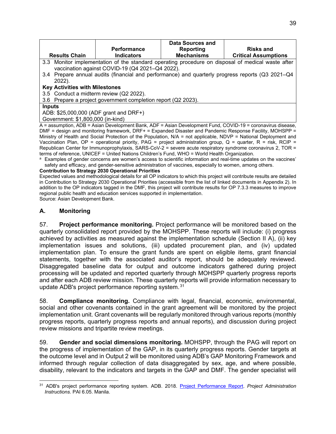|                                         |                                                               | Data Sources and  |                                                                                                   |
|-----------------------------------------|---------------------------------------------------------------|-------------------|---------------------------------------------------------------------------------------------------|
|                                         | <b>Performance</b>                                            | Reporting         | <b>Risks and</b>                                                                                  |
| <b>Results Chain</b>                    | <b>Indicators</b>                                             | <b>Mechanisms</b> | <b>Critical Assumptions</b>                                                                       |
|                                         |                                                               |                   | 3.3 Monitor implementation of the standard operating procedure on disposal of medical waste after |
|                                         | vaccination against COVID-19 (Q4 2021-Q4 2022).               |                   |                                                                                                   |
|                                         |                                                               |                   | 3.4 Prepare annual audits (financial and performance) and quarterly progress reports (Q3 2021–Q4  |
| 2022).                                  |                                                               |                   |                                                                                                   |
| <b>Key Activities with Milestones</b>   |                                                               |                   |                                                                                                   |
| 3.5 Conduct a midterm review (Q2 2022). |                                                               |                   |                                                                                                   |
|                                         | 3.6 Prepare a project government completion report (Q2 2023). |                   |                                                                                                   |
| <b>Inputs</b>                           |                                                               |                   |                                                                                                   |
| ADB: \$25,000,000 (ADF grant and DRF+)  |                                                               |                   |                                                                                                   |
| Government: \$1,800,000 (in-kind)       |                                                               |                   |                                                                                                   |

A = assumption, ADB = Asian Development Bank, ADF = Asian Development Fund, COVID-19 = coronavirus disease, DMF = design and monitoring framework, DRF+ = Expanded Disaster and Pandemic Response Facility, MOHSPP = Ministry of Health and Social Protection of the Population, N/A = not applicable, NDVP = National Deployment and Vaccination Plan, OP = operational priority, PAG = project administration group, Q = quarter, R = risk, RCIP = Republican Center for Immunoprophylaxis, SARS-CoV-2 = severe acute respiratory syndrome coronavirus 2, TOR = terms of reference, UNICEF = United Nations Children's Fund, WHO = World Health Organization.

<sup>a</sup> Examples of gender concerns are women's access to scientific information and real-time updates on the vaccines' safety and efficacy, and gender-sensitive administration of vaccines, especially to women, among others.

#### **Contribution to Strategy 2030 Operational Priorities**

Expected values and methodological details for all OP indicators to which this project will contribute results are detailed in Contribution to Strategy 2030 Operational Priorities (accessible from the list of linked documents in Appendix 2). In addition to the OP indicators tagged in the DMF, this project will contribute results for OP 7.3.3 measures to improve regional public health and education services supported in implementation. Source: Asian Development Bank.

#### <span id="page-44-0"></span>**A. Monitoring**

57. **Project performance monitoring.** Project performance will be monitored based on the quarterly consolidated report provided by the MOHSPP. These reports will include: (i) progress achieved by activities as measured against the implementation schedule (Section II A), (ii) key implementation issues and solutions, (iii) updated procurement plan, and (iv) updated implementation plan. To ensure the grant funds are spent on eligible items, grant financial statements, together with the associated auditor's report, should be adequately reviewed. Disaggregated baseline data for output and outcome indicators gathered during project processing will be updated and reported quarterly through MOHSPP quarterly progress reports and after each ADB review mission. These quarterly reports will provide information necessary to update ADB's project performance reporting system. [31](#page-44-1)

58. **Compliance monitoring.** Compliance with legal, financial, economic, environmental, social and other covenants contained in the grant agreement will be monitored by the project implementation unit. Grant covenants will be regularly monitored through various reports (monthly progress reports, quarterly progress reports and annual reports), and discussion during project review missions and tripartite review meetings.

59. **Gender and social dimensions monitoring.** MOHSPP, through the PAG will report on the progress of implementation of the GAP, in its quarterly progress reports. Gender targets at the outcome level and in Output 2 will be monitored using ADB's GAP Monitoring Framework and informed through regular collection of data disaggregated by sex, age, and where possible, disability, relevant to the indicators and targets in the GAP and DMF. The gender specialist will

<span id="page-44-1"></span><sup>31</sup> ADB's project performance reporting system. ADB. 2018. [Project Performance Report.](https://www.adb.org/sites/default/files/institutional-document/33431/pai-6-05.pdf) *Project Administration Instructions*. PAI 6.05. Manila.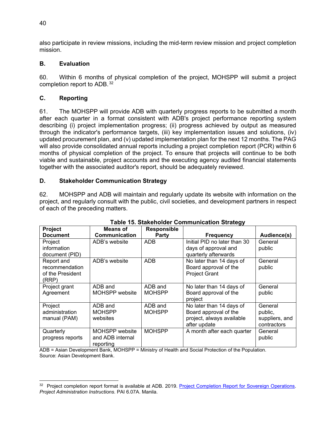also participate in review missions, including the mid-term review mission and project completion mission.

### <span id="page-45-0"></span>**B. Evaluation**

60. Within 6 months of physical completion of the project, MOHSPP will submit a project completion report to ADB. [32](#page-45-3)

### <span id="page-45-1"></span>**C. Reporting**

61. The MOHSPP will provide ADB with quarterly progress reports to be submitted a month after each quarter in a format consistent with ADB's project performance reporting system describing (i) project implementation progress; (ii) progress achieved by output as measured through the indicator's performance targets, (iii) key implementation issues and solutions, (iv) updated procurement plan, and (v) updated implementation plan for the next 12 months. The PAG will also provide consolidated annual reports including a project completion report (PCR) within 6 months of physical completion of the project. To ensure that projects will continue to be both viable and sustainable, project accounts and the executing agency audited financial statements together with the associated auditor's report, should be adequately reviewed.

### <span id="page-45-2"></span>**D. Stakeholder Communication Strategy**

62. MOHSPP and ADB will maintain and regularly update its website with information on the project, and regularly consult with the public, civil societies, and development partners in respect of each of the preceding matters.

| Table 15. Stakenbluer Communication Strategy |                       |                    |                              |                |  |  |  |
|----------------------------------------------|-----------------------|--------------------|------------------------------|----------------|--|--|--|
| Project                                      | Means of              | <b>Responsible</b> |                              |                |  |  |  |
| <b>Document</b>                              | Communication         | Party              | <b>Frequency</b>             | Audience(s)    |  |  |  |
| Project                                      | ADB's website         | ADB                | Initial PID no later than 30 | General        |  |  |  |
| information                                  |                       |                    | days of approval and         | public         |  |  |  |
| document (PID)                               |                       |                    | quarterly afterwards         |                |  |  |  |
| Report and                                   | ADB's website         | ADB                | No later than 14 days of     | General        |  |  |  |
| recommendation                               |                       |                    | Board approval of the        | public         |  |  |  |
| of the President                             |                       |                    | <b>Project Grant</b>         |                |  |  |  |
| (RRP)                                        |                       |                    |                              |                |  |  |  |
| Project grant                                | ADB and               | ADB and            | No later than 14 days of     | General        |  |  |  |
| Agreement                                    | <b>MOHSPP</b> website | <b>MOHSPP</b>      | Board approval of the        | public         |  |  |  |
|                                              |                       |                    | project                      |                |  |  |  |
| Project                                      | ADB and               | ADB and            | No later than 14 days of     | General        |  |  |  |
| administration                               | <b>MOHSPP</b>         | <b>MOHSPP</b>      | Board approval of the        | public,        |  |  |  |
| manual (PAM)                                 | websites              |                    | project, always available    | suppliers, and |  |  |  |
|                                              |                       |                    | after update                 | contractors    |  |  |  |
| Quarterly                                    | <b>MOHSPP</b> website | <b>MOHSPP</b>      | A month after each quarter   | General        |  |  |  |
| progress reports                             | and ADB internal      |                    |                              | public         |  |  |  |
|                                              | reporting             |                    |                              |                |  |  |  |

ADB = Asian Development Bank, MOHSPP = Ministry of Health and Social Protection of the Population. Source: Asian Development Bank.

<span id="page-45-3"></span><sup>32</sup> Project completion report format is available at ADB. 2019. [Project Completion Report for Sovereign Operations.](https://www.adb.org/sites/default/files/institutional-document/33431/pai-6-07a.pdf) *Project Administration Instructions*. PAI 6.07A. Manila.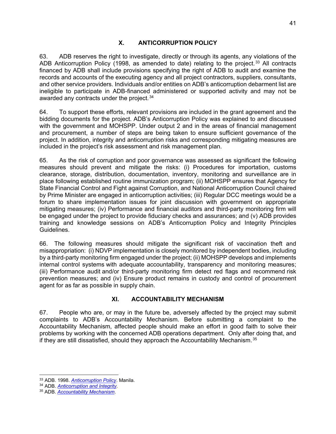<span id="page-46-0"></span>63. ADB reserves the right to investigate, directly or through its agents, any violations of the ADB Anticorruption Policy (1998, as amended to date) relating to the project.<sup>[33](#page-46-2)</sup> All contracts financed by ADB shall include provisions specifying the right of ADB to audit and examine the records and accounts of the executing agency and all project contractors, suppliers, consultants, and other service providers. Individuals and/or entities on ADB's anticorruption debarment list are ineligible to participate in ADB-financed administered or supported activity and may not be awarded any contracts under the project. [34](#page-46-3)

64. To support these efforts, relevant provisions are included in the grant agreement and the bidding documents for the project. ADB's Anticorruption Policy was explained to and discussed with the government and MOHSPP. Under output 2 and in the areas of financial management and procurement, a number of steps are being taken to ensure sufficient governance of the project. In addition, integrity and anticorruption risks and corresponding mitigating measures are included in the project's risk assessment and risk management plan.

65. As the risk of corruption and poor governance was assessed as significant the following measures should prevent and mitigate the risks: (i) Procedures for importation, customs clearance, storage, distribution, documentation, inventory, monitoring and surveillance are in place following established routine immunization program; (ii) MOHSPP ensures that Agency for State Financial Control and Fight against Corruption, and National Anticorruption Council chaired by Prime Minister are engaged in anticorruption activities; (iii) Regular DCC meetings would be a forum to share implementation issues for joint discussion with government on appropriate mitigating measures; (iv) Performance and financial auditors and third-party monitoring firm will be engaged under the project to provide fiduciary checks and assurances; and (v) ADB provides training and knowledge sessions on ADB's Anticorruption Policy and Integrity Principles Guidelines.

66. The following measures should mitigate the significant risk of vaccination theft and misappropriation: (i) NDVP implementation is closely monitored by independent bodies, including by a third-party monitoring firm engaged under the project; (ii) MOHSPP develops and implements internal control systems with adequate accountability, transparency and monitoring measures; (iii) Performance audit and/or third-party monitoring firm detect red flags and recommend risk prevention measures; and (iv) Ensure product remains in custody and control of procurement agent for as far as possible in supply chain.

### **XI. ACCOUNTABILITY MECHANISM**

<span id="page-46-1"></span>67. People who are, or may in the future be, adversely affected by the project may submit complaints to ADB's Accountability Mechanism. Before submitting a complaint to the Accountability Mechanism, affected people should make an effort in good faith to solve their problems by working with the concerned ADB operations department. Only after doing that, and if they are still dissatisfied, should they approach the Accountability Mechanism. [35](#page-46-4)

<span id="page-46-2"></span><sup>33</sup> ADB. 1998. *Anticorruption Policy*. Manila. 34 ADB. *[Anticorruption and Integrity.](http://www.adb.org/integrity)* 

<span id="page-46-4"></span><span id="page-46-3"></span><sup>35</sup> ADB. *[Accountability Mechanism](https://www.adb.org/who-we-are/accountability-mechanism/main)*.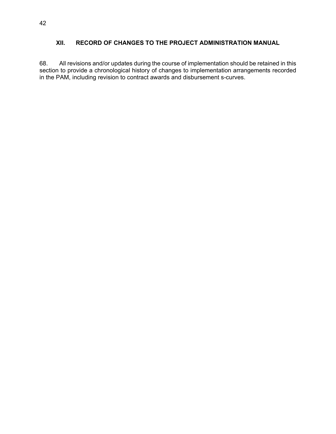### <span id="page-47-0"></span>**XII. RECORD OF CHANGES TO THE PROJECT ADMINISTRATION MANUAL**

68. All revisions and/or updates during the course of implementation should be retained in this section to provide a chronological history of changes to implementation arrangements recorded in the PAM, including revision to contract awards and disbursement s-curves.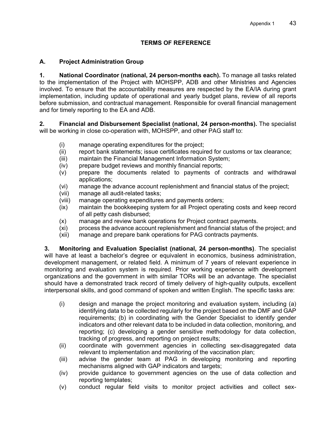### **TERMS OF REFERENCE**

### <span id="page-48-0"></span>**A. Project Administration Group**

**1. National Coordinator (national, 24 person-months each).** To manage all tasks related to the implementation of the Project with MOHSPP, ADB and other Ministries and Agencies involved. To ensure that the accountability measures are respected by the EA/IA during grant implementation, including update of operational and yearly budget plans, review of all reports before submission, and contractual management. Responsible for overall financial management and for timely reporting to the EA and ADB.

**2. Financial and Disbursement Specialist (national, 24 person-months).** The specialist will be working in close co-operation with, MOHSPP, and other PAG staff to:

- (i) manage operating expenditures for the project;
- (ii) report bank statements; issue certificates required for customs or tax clearance;
- (iii) maintain the Financial Management Information System;
- (iv) prepare budget reviews and monthly financial reports;
- (v) prepare the documents related to payments of contracts and withdrawal applications;
- (vi) manage the advance account replenishment and financial status of the project;
- (vii) manage all audit-related tasks;
- (viii) manage operating expenditures and payments orders;
- (ix) maintain the bookkeeping system for all Project operating costs and keep record of all petty cash disbursed;
- (x) manage and review bank operations for Project contract payments.
- (xi) process the advance account replenishment and financial status of the project; and
- (xii) manage and prepare bank operations for PAG contracts payments.

**3. Monitoring and Evaluation Specialist (national, 24 person-months)**. The specialist will have at least a bachelor's degree or equivalent in economics, business administration, development management, or related field. A minimum of 7 years of relevant experience in monitoring and evaluation system is required. Prior working experience with development organizations and the government in with similar TORs will be an advantage. The specialist should have a demonstrated track record of timely delivery of high-quality outputs, excellent interpersonal skills, and good command of spoken and written English. The specific tasks are:

- (i) design and manage the project monitoring and evaluation system, including (a) identifying data to be collected regularly for the project based on the DMF and GAP requirements; (b) in coordinating with the Gender Specialist to identify gender indicators and other relevant data to be included in data collection, monitoring, and reporting; (c) developing a gender sensitive methodology for data collection, tracking of progress, and reporting on project results;
- (ii) coordinate with government agencies in collecting sex-disaggregated data relevant to implementation and monitoring of the vaccination plan;
- (iii) advise the gender team at PAG in developing monitoring and reporting mechanisms aligned with GAP indicators and targets;
- (iv) provide guidance to government agencies on the use of data collection and reporting templates;
- (v) conduct regular field visits to monitor project activities and collect sex-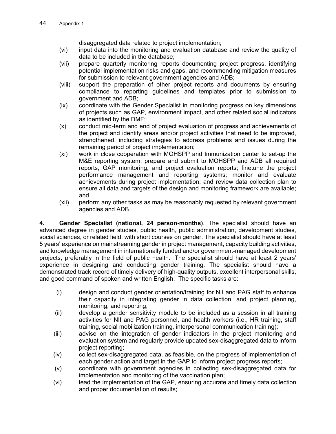disaggregated data related to project implementation;

- (vi) input data into the monitoring and evaluation database and review the quality of data to be included in the database;
- (vii) prepare quarterly monitoring reports documenting project progress, identifying potential implementation risks and gaps, and recommending mitigation measures for submission to relevant government agencies and ADB;
- (viii) support the preparation of other project reports and documents by ensuring compliance to reporting guidelines and templates prior to submission to government and ADB;
- (ix) coordinate with the Gender Specialist in monitoring progress on key dimensions of projects such as GAP, environment impact, and other related social indicators as identified by the DMF;
- (x) conduct mid-term and end of project evaluation of progress and achievements of the project and identify areas and/or project activities that need to be improved, strengthened, including strategies to address problems and issues during the remaining period of project implementation;
- (xi) work in close cooperation with MOHSPP and Immunization center to set-up the M&E reporting system; prepare and submit to MOHSPP and ADB all required reports, GAP monitoring, and project evaluation reports; finetune the project performance management and reporting systems; monitor and evaluate achievements during project implementation; and review data collection plan to ensure all data and targets of the design and monitoring framework are available; and
- (xii) perform any other tasks as may be reasonably requested by relevant government agencies and ADB.

**4. Gender Specialist (national, 24 person-months)**. The specialist should have an advanced degree in gender studies, public health, public administration, development studies, social sciences, or related field, with short courses on gender. The specialist should have at least 5 years' experience on mainstreaming gender in project management, capacity building activities, and knowledge management in internationally funded and/or government-managed development projects, preferably in the field of public health. The specialist should have at least 2 years' experience in designing and conducting gender training. The specialist should have a demonstrated track record of timely delivery of high-quality outputs, excellent interpersonal skills, and good command of spoken and written English. The specific tasks are:

- (i) design and conduct gender orientation/training for NII and PAG staff to enhance their capacity in integrating gender in data collection, and project planning, monitoring, and reporting;
- (ii) develop a gender sensitivity module to be included as a session in all training activities for NII and PAG personnel, and health workers (i.e., HR training, staff training, social mobilization training, interpersonal communication training);
- (iii) advise on the integration of gender indicators in the project monitoring and evaluation system and regularly provide updated sex-disaggregated data to inform project reporting;
- (iv) collect sex-disaggregated data, as feasible, on the progress of implementation of each gender action and target in the GAP to inform project progress reports;
- (v) coordinate with government agencies in collecting sex-disaggregated data for implementation and monitoring of the vaccination plan;
- (vi) lead the implementation of the GAP, ensuring accurate and timely data collection and proper documentation of results;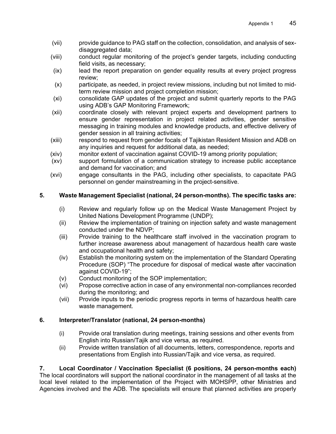- (vii) provide guidance to PAG staff on the collection, consolidation, and analysis of sexdisaggregated data;
- (viii) conduct regular monitoring of the project's gender targets, including conducting field visits, as necessary;
- (ix) lead the report preparation on gender equality results at every project progress review;
- (x) participate, as needed, in project review missions, including but not limited to midterm review mission and project completion mission;
- (xi) consolidate GAP updates of the project and submit quarterly reports to the PAG using ADB's GAP Monitoring Framework;
- (xii) coordinate closely with relevant project experts and development partners to ensure gender representation in project related activities, gender sensitive messaging in training modules and knowledge products, and effective delivery of gender session in all training activities;
- (xiii) respond to request from gender focals of Tajikistan Resident Mission and ADB on any inquiries and request for additional data, as needed;
- (xiv) monitor extent of vaccination against COVID-19 among priority population;
- (xv) support formulation of a communication strategy to increase public acceptance and demand for vaccination; and
- (xvi) engage consultants in the PAG, including other specialists, to capacitate PAG personnel on gender mainstreaming in the project-sensitive.

### **5. Waste Management Specialist (national, 24 person-months). The specific tasks are:**

- (i) Review and regularly follow up on the Medical Waste Management Project by United Nations Development Programme (UNDP);
- (ii) Review the implementation of training on injection safety and waste management conducted under the NDVP;
- (iii) Provide training to the healthcare staff involved in the vaccination program to further increase awareness about management of hazardous health care waste and occupational health and safety;
- (iv) Establish the monitoring system on the implementation of the Standard Operating Procedure (SOP) "The procedure for disposal of medical waste after vaccination against COVID-19";
- (v) Conduct monitoring of the SOP implementation;
- (vi) Propose corrective action in case of any environmental non-compliances recorded during the monitoring; and
- (vii) Provide inputs to the periodic progress reports in terms of hazardous health care waste management.

### **6. Interpreter/Translator (national, 24 person-months)**

- (i) Provide oral translation during meetings, training sessions and other events from English into Russian/Tajik and vice versa, as required.
- (ii) Provide written translation of all documents, letters, correspondence, reports and presentations from English into Russian/Tajik and vice versa, as required.

# **7. Local Coordinator / Vaccination Specialist (6 positions, 24 person-months each)**

The local coordinators will support the national coordinator in the management of all tasks at the local level related to the implementation of the Project with MOHSPP, other Ministries and Agencies involved and the ADB. The specialists will ensure that planned activities are properly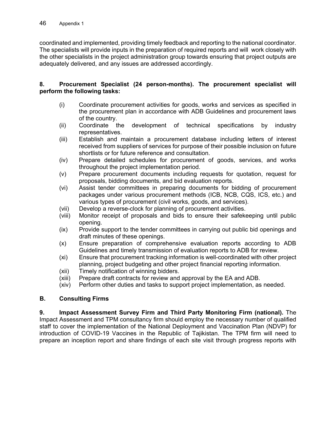coordinated and implemented, providing timely feedback and reporting to the national coordinator. The specialists will provide inputs in the preparation of required reports and will work closely with the other specialists in the project administration group towards ensuring that project outputs are adequately delivered, and any issues are addressed accordingly.

#### **8. Procurement Specialist (24 person-months). The procurement specialist will perform the following tasks:**

- (i) Coordinate procurement activities for goods, works and services as specified in the procurement plan in accordance with ADB Guidelines and procurement laws of the country.
- (ii) Coordinate the development of technical specifications by industry representatives.
- (iii) Establish and maintain a procurement database including letters of interest received from suppliers of services for purpose of their possible inclusion on future shortlists or for future reference and consultation.
- (iv) Prepare detailed schedules for procurement of goods, services, and works throughout the project implementation period.
- (v) Prepare procurement documents including requests for quotation, request for proposals, bidding documents, and bid evaluation reports.
- (vi) Assist tender committees in preparing documents for bidding of procurement packages under various procurement methods (ICB, NCB, CQS, ICS, etc.) and various types of procurement (civil works, goods, and services).
- (vii) Develop a reverse-clock for planning of procurement activities.
- (viii) Monitor receipt of proposals and bids to ensure their safekeeping until public opening.
- (ix) Provide support to the tender committees in carrying out public bid openings and draft minutes of these openings.
- (x) Ensure preparation of comprehensive evaluation reports according to ADB Guidelines and timely transmission of evaluation reports to ADB for review.
- (xi) Ensure that procurement tracking information is well-coordinated with other project planning, project budgeting and other project financial reporting information.
- (xii) Timely notification of winning bidders.
- (xiii) Prepare draft contracts for review and approval by the EA and ADB.
- (xiv) Perform other duties and tasks to support project implementation, as needed.

### **B. Consulting Firms**

**9. Impact Assessment Survey Firm and Third Party Monitoring Firm (national).** The Impact Assessment and TPM consultancy firm should employ the necessary number of qualified staff to cover the implementation of the National Deployment and Vaccination Plan (NDVP) for introduction of COVID-19 Vaccines in the Republic of Tajikistan. The TPM firm will need to prepare an inception report and share findings of each site visit through progress reports with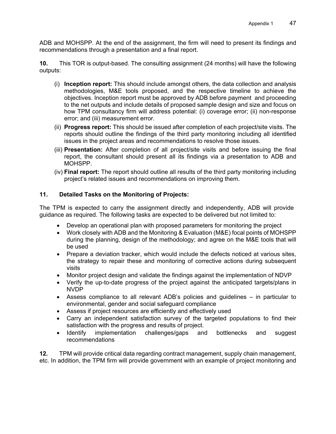ADB and MOHSPP. At the end of the assignment, the firm will need to present its findings and recommendations through a presentation and a final report.

**10.** This TOR is output-based. The consulting assignment (24 months) will have the following outputs:

- (i) **Inception report:** This should include amongst others, the data collection and analysis methodologies, M&E tools proposed, and the respective timeline to achieve the objectives. Inception report must be approved by ADB before payment and proceeding to the net outputs and include details of proposed sample design and size and focus on how TPM consultancy firm will address potential: (i) coverage error; (ii) non-response error; and (iii) measurement error.
- (ii) **Progress report:** This should be issued after completion of each project/site visits. The reports should outline the findings of the third party monitoring including all identified issues in the project areas and recommendations to resolve those issues.
- (iii) **Presentation:** After completion of all project/site visits and before issuing the final report, the consultant should present all its findings via a presentation to ADB and MOHSPP.
- (iv) **Final report:** The report should outline all results of the third party monitoring including project's related issues and recommendations on improving them.

### **11. Detailed Tasks on the Monitoring of Projects:**

The TPM is expected to carry the assignment directly and independently, ADB will provide guidance as required. The following tasks are expected to be delivered but not limited to:

- Develop an operational plan with proposed parameters for monitoring the project
- Work closely with ADB and the Monitoring & Evaluation (M&E) focal points of MOHSPP during the planning, design of the methodology; and agree on the M&E tools that will be used
- Prepare a deviation tracker, which would include the defects noticed at various sites, the strategy to repair these and monitoring of corrective actions during subsequent visits
- Monitor project design and validate the findings against the implementation of NDVP
- Verify the up-to-date progress of the project against the anticipated targets/plans in NVDP
- Assess compliance to all relevant ADB's policies and guidelines in particular to environmental, gender and social safeguard compliance
- Assess if project resources are efficiently and effectively used
- Carry an independent satisfaction survey of the targeted populations to find their satisfaction with the progress and results of project.
- Identify implementation challenges/gaps and bottlenecks and suggest recommendations

**12.** TPM will provide critical data regarding contract management, supply chain management, etc. In addition, the TPM firm will provide government with an example of project monitoring and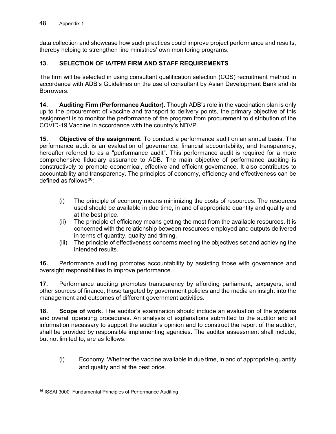data collection and showcase how such practices could improve project performance and results, thereby helping to strengthen line ministries' own monitoring programs.

### **13. SELECTION OF IA/TPM FIRM AND STAFF REQUIREMENTS**

The firm will be selected in using consultant qualification selection (CQS) recruitment method in accordance with ADB's Guidelines on the use of consultant by Asian Development Bank and its Borrowers.

**14. Auditing Firm (Performance Auditor).** Though ADB's role in the vaccination plan is only up to the procurement of vaccine and transport to delivery points, the primary objective of this assignment is to monitor the performance of the program from procurement to distribution of the COVID-19 Vaccine in accordance with the country's NDVP.

**15. Objective of the assignment.** To conduct a performance audit on an annual basis. The performance audit is an evaluation of governance, financial accountability, and transparency, hereafter referred to as a "performance audit". This performance audit is required for a more comprehensive fiduciary assurance to ADB. The main objective of performance auditing is constructively to promote economical, effective and efficient governance. It also contributes to accountability and transparency. The principles of economy, efficiency and effectiveness can be defined as follows [36](#page-53-0):

- (i) The principle of economy means minimizing the costs of resources. The resources used should be available in due time, in and of appropriate quantity and quality and at the best price.
- (ii) The principle of efficiency means getting the most from the available resources. It is concerned with the relationship between resources employed and outputs delivered in terms of quantity, quality and timing.
- (iii) The principle of effectiveness concerns meeting the objectives set and achieving the intended results.

**16.** Performance auditing promotes accountability by assisting those with governance and oversight responsibilities to improve performance.

**17.** Performance auditing promotes transparency by affording parliament, taxpayers, and other sources of finance, those targeted by government policies and the media an insight into the management and outcomes of different government activities.

**18. Scope of work.** The auditor's examination should include an evaluation of the systems and overall operating procedures. An analysis of explanations submitted to the auditor and all information necessary to support the auditor's opinion and to construct the report of the auditor, shall be provided by responsible implementing agencies. The auditor assessment shall include, but not limited to, are as follows:

(i) Economy. Whether the vaccine available in due time, in and of appropriate quantity and quality and at the best price.

<span id="page-53-0"></span><sup>36</sup> ISSAI 3000: Fundamental Principles of Performance Auditing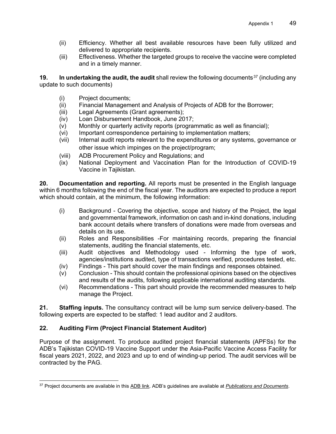- (ii) Efficiency. Whether all best available resources have been fully utilized and delivered to appropriate recipients.
- (iii) Effectiveness. Whether the targeted groups to receive the vaccine were completed and in a timely manner.

**19. In undertaking the audit, the audit** shall review the following documents<sup>[37](#page-54-0)</sup> (including any update to such documents)

- (i) Project documents;
- (ii) Financial Management and Analysis of Projects of ADB for the Borrower;
- (iii) Legal Agreements (Grant agreements);
- (iv) Loan Disbursement Handbook, June 2017;
- (v) Monthly or quarterly activity reports (programmatic as well as financial);
- (vi) Important correspondence pertaining to implementation matters;
- (vii) Internal audit reports relevant to the expenditures or any systems, governance or other issue which impinges on the project/program;
- (viii) ADB Procurement Policy and Regulations; and
- (ix) National Deployment and Vaccination Plan for the Introduction of COVID-19 Vaccine in Tajikistan.

**20. Documentation and reporting.** All reports must be presented in the English language within 6 months following the end of the fiscal year. The auditors are expected to produce a report which should contain, at the minimum, the following information:

- (i) Background Covering the objective, scope and history of the Project, the legal and governmental framework, information on cash and in-kind donations, including bank account details where transfers of donations were made from overseas and details on its use.
- (ii) Roles and Responsibilities -For maintaining records, preparing the financial statements, auditing the financial statements, etc.
- (iii) Audit objectives and Methodology used Informing the type of work, agencies/institutions audited, type of transactions verified, procedures tested, etc.
- (iv) Findings This part should cover the main findings and responses obtained.
- (v) Conclusion This should contain the professional opinions based on the objectives and results of the audits, following applicable international auditing standards.
- (vi) Recommendations This part should provide the recommended measures to help manage the Project.

**21. Staffing inputs.** The consultancy contract will be lump sum service delivery-based. The following experts are expected to be staffed: 1 lead auditor and 2 auditors.

#### **22. Auditing Firm (Project Financial Statement Auditor)**

Purpose of the assignment. To produce audited project financial statements (APFSs) for the ADB's Tajikistan COVID-19 Vaccine Support under the Asia-Pacific Vaccine Access Facility for fiscal years 2021, 2022, and 2023 and up to end of winding-up period. The audit services will be contracted by the PAG.

<span id="page-54-0"></span><sup>37</sup> Project documents are available in this [ADB link.](https://www.adb.org/projects/documents) ADB's guidelines are available at *[Publications and Documents](https://www.adb.org/publications/guides)*.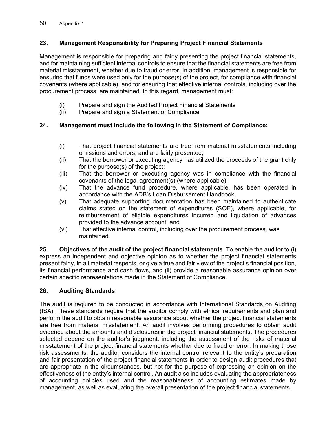### **23. Management Responsibility for Preparing Project Financial Statements**

Management is responsible for preparing and fairly presenting the project financial statements, and for maintaining sufficient internal controls to ensure that the financial statements are free from material misstatement, whether due to fraud or error. In addition, management is responsible for ensuring that funds were used only for the purpose(s) of the project, for compliance with financial covenants (where applicable), and for ensuring that effective internal controls, including over the procurement process, are maintained. In this regard, management must:

- (i) Prepare and sign the Audited Project Financial Statements
- Prepare and sign a Statement of Compliance

### **24. Management must include the following in the Statement of Compliance:**

- (i) That project financial statements are free from material misstatements including omissions and errors, and are fairly presented;
- (ii) That the borrower or executing agency has utilized the proceeds of the grant only for the purpose(s) of the project;
- (iii) That the borrower or executing agency was in compliance with the financial covenants of the legal agreement(s) (where applicable);
- (iv) That the advance fund procedure, where applicable, has been operated in accordance with the ADB's Loan Disbursement Handbook;
- (v) That adequate supporting documentation has been maintained to authenticate claims stated on the statement of expenditures (SOE), where applicable, for reimbursement of eligible expenditures incurred and liquidation of advances provided to the advance account; and
- (vi) That effective internal control, including over the procurement process, was maintained.

**25. Objectives of the audit of the project financial statements.** To enable the auditor to (i) express an independent and objective opinion as to whether the project financial statements present fairly, in all material respects, or give a true and fair view of the project's financial position, its financial performance and cash flows, and (ii) provide a reasonable assurance opinion over certain specific representations made in the Statement of Compliance.

#### **26. Auditing Standards**

The audit is required to be conducted in accordance with International Standards on Auditing (ISA). These standards require that the auditor comply with ethical requirements and plan and perform the audit to obtain reasonable assurance about whether the project financial statements are free from material misstatement. An audit involves performing procedures to obtain audit evidence about the amounts and disclosures in the project financial statements. The procedures selected depend on the auditor's judgment, including the assessment of the risks of material misstatement of the project financial statements whether due to fraud or error. In making those risk assessments, the auditor considers the internal control relevant to the entity's preparation and fair presentation of the project financial statements in order to design audit procedures that are appropriate in the circumstances, but not for the purpose of expressing an opinion on the effectiveness of the entity's internal control. An audit also includes evaluating the appropriateness of accounting policies used and the reasonableness of accounting estimates made by management, as well as evaluating the overall presentation of the project financial statements.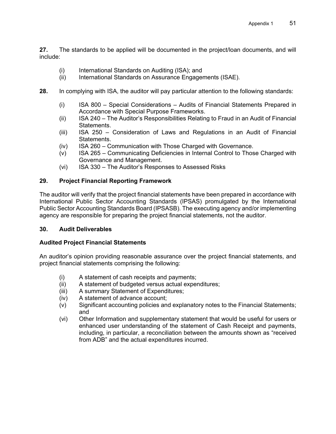**27.** The standards to be applied will be documented in the project/loan documents, and will include:

- (i) International Standards on Auditing (ISA); and
- (ii) International Standards on Assurance Engagements (ISAE).
- **28.** In complying with ISA, the auditor will pay particular attention to the following standards:
	- (i) ISA 800 Special Considerations Audits of Financial Statements Prepared in Accordance with Special Purpose Frameworks.
	- (ii) ISA 240 The Auditor's Responsibilities Relating to Fraud in an Audit of Financial Statements.
	- (iii) ISA 250 Consideration of Laws and Regulations in an Audit of Financial Statements.
	- (iv) ISA 260 Communication with Those Charged with Governance.
	- (v) ISA 265 Communicating Deficiencies in Internal Control to Those Charged with Governance and Management.
	- (vi) ISA 330 The Auditor's Responses to Assessed Risks

### **29. Project Financial Reporting Framework**

The auditor will verify that the project financial statements have been prepared in accordance with International Public Sector Accounting Standards (IPSAS) promulgated by the International Public Sector Accounting Standards Board (IPSASB). The executing agency and/or implementing agency are responsible for preparing the project financial statements, not the auditor.

#### **30. Audit Deliverables**

#### **Audited Project Financial Statements**

An auditor's opinion providing reasonable assurance over the project financial statements, and project financial statements comprising the following:

- (i) A statement of cash receipts and payments;
- (ii) A statement of budgeted versus actual expenditures;
- (iii) A summary Statement of Expenditures;
- (iv) A statement of advance account;
- (v) Significant accounting policies and explanatory notes to the Financial Statements; and
- (vi) Other Information and supplementary statement that would be useful for users or enhanced user understanding of the statement of Cash Receipt and payments, including, in particular, a reconciliation between the amounts shown as "received from ADB" and the actual expenditures incurred.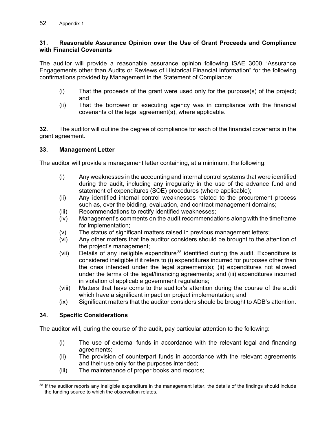### **31. Reasonable Assurance Opinion over the Use of Grant Proceeds and Compliance with Financial Covenants**

The auditor will provide a reasonable assurance opinion following ISAE 3000 "Assurance Engagements other than Audits or Reviews of Historical Financial Information" for the following confirmations provided by Management in the Statement of Compliance:

- (i) That the proceeds of the grant were used only for the purpose(s) of the project; and
- (ii) That the borrower or executing agency was in compliance with the financial covenants of the legal agreement(s), where applicable.

**32.** The auditor will outline the degree of compliance for each of the financial covenants in the grant agreement.

#### **33. Management Letter**

The auditor will provide a management letter containing, at a minimum, the following:

- (i) Any weaknesses in the accounting and internal control systems that were identified during the audit, including any irregularity in the use of the advance fund and statement of expenditures (SOE) procedures (where applicable);
- (ii) Any identified internal control weaknesses related to the procurement process such as, over the bidding, evaluation, and contract management domains;
- (iii) Recommendations to rectify identified weaknesses;
- (iv) Management's comments on the audit recommendations along with the timeframe for implementation;
- (v) The status of significant matters raised in previous management letters;
- (vi) Any other matters that the auditor considers should be brought to the attention of the project's management;
- (vii) Details of any ineligible expenditure<sup>[38](#page-57-0)</sup> identified during the audit. Expenditure is considered ineligible if it refers to (i) expenditures incurred for purposes other than the ones intended under the legal agreement(s); (ii) expenditures not allowed under the terms of the legal/financing agreements; and (iii) expenditures incurred in violation of applicable government regulations;
- (viii) Matters that have come to the auditor's attention during the course of the audit which have a significant impact on project implementation; and
- (ix) Significant matters that the auditor considers should be brought to ADB's attention.

#### **34. Specific Considerations**

The auditor will, during the course of the audit, pay particular attention to the following:

- (i) The use of external funds in accordance with the relevant legal and financing agreements;
- (ii) The provision of counterpart funds in accordance with the relevant agreements and their use only for the purposes intended;
- (iii) The maintenance of proper books and records;

<span id="page-57-0"></span><sup>38</sup> If the auditor reports any ineligible expenditure in the management letter, the details of the findings should include the funding source to which the observation relates.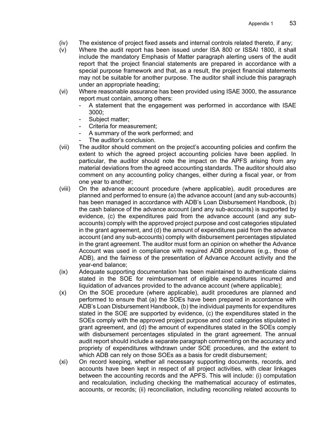- (iv) The existence of project fixed assets and internal controls related thereto, if any;
- (v) Where the audit report has been issued under ISA 800 or ISSAI 1800, it shall include the mandatory Emphasis of Matter paragraph alerting users of the audit report that the project financial statements are prepared in accordance with a special purpose framework and that, as a result, the project financial statements may not be suitable for another purpose. The auditor shall include this paragraph under an appropriate heading;
- (vi) Where reasonable assurance has been provided using ISAE 3000, the assurance report must contain, among others:
	- A statement that the engagement was performed in accordance with ISAE 3000;
	- Subject matter;
	- Criteria for measurement;
	- A summary of the work performed; and
	- The auditor's conclusion.
- (vii) The auditor should comment on the project's accounting policies and confirm the extent to which the agreed project accounting policies have been applied. In particular, the auditor should note the impact on the APFS arising from any material deviations from the agreed accounting standards. The auditor should also comment on any accounting policy changes, either during a fiscal year, or from one year to another;
- (viii) On the advance account procedure (where applicable), audit procedures are planned and performed to ensure (a) the advance account (and any sub-accounts) has been managed in accordance with ADB's Loan Disbursement Handbook, (b) the cash balance of the advance account (and any sub-accounts) is supported by evidence, (c) the expenditures paid from the advance account (and any subaccounts) comply with the approved project purpose and cost categories stipulated in the grant agreement, and (d) the amount of expenditures paid from the advance account (and any sub-accounts) comply with disbursement percentages stipulated in the grant agreement. The auditor must form an opinion on whether the Advance Account was used in compliance with required ADB procedures (e.g., those of ADB), and the fairness of the presentation of Advance Account activity and the year-end balance;
- (ix) Adequate supporting documentation has been maintained to authenticate claims stated in the SOE for reimbursement of eligible expenditures incurred and liquidation of advances provided to the advance account (where applicable);
- (x) On the SOE procedure (where applicable), audit procedures are planned and performed to ensure that (a) the SOEs have been prepared in accordance with ADB's Loan Disbursement Handbook, (b) the individual payments for expenditures stated in the SOE are supported by evidence, (c) the expenditures stated in the SOEs comply with the approved project purpose and cost categories stipulated in grant agreement, and (d) the amount of expenditures stated in the SOEs comply with disbursement percentages stipulated in the grant agreement. The annual audit report should include a separate paragraph commenting on the accuracy and propriety of expenditures withdrawn under SOE procedures, and the extent to which ADB can rely on those SOEs as a basis for credit disbursement;
- (xi) On record keeping, whether all necessary supporting documents, records, and accounts have been kept in respect of all project activities, with clear linkages between the accounting records and the APFS. This will include: (i) computation and recalculation, including checking the mathematical accuracy of estimates, accounts, or records; (ii) reconciliation, including reconciling related accounts to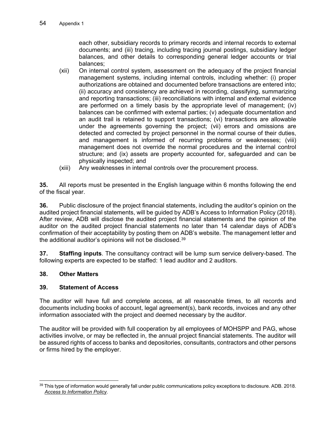each other, subsidiary records to primary records and internal records to external documents; and (iii) tracing, including tracing journal postings, subsidiary ledger balances, and other details to corresponding general ledger accounts or trial balances;

- (xii) On internal control system, assessment on the adequacy of the project financial management systems, including internal controls, including whether: (i) proper authorizations are obtained and documented before transactions are entered into; (ii) accuracy and consistency are achieved in recording, classifying, summarizing and reporting transactions; (iii) reconciliations with internal and external evidence are performed on a timely basis by the appropriate level of management; (iv) balances can be confirmed with external parties; (v) adequate documentation and an audit trail is retained to support transactions; (vi) transactions are allowable under the agreements governing the project; (vii) errors and omissions are detected and corrected by project personnel in the normal course of their duties, and management is informed of recurring problems or weaknesses; (viii) management does not override the normal procedures and the internal control structure; and (ix) assets are property accounted for, safeguarded and can be physically inspected; and
- (xiii) Any weaknesses in internal controls over the procurement process.

**35.** All reports must be presented in the English language within 6 months following the end of the fiscal year.

**36.** Public disclosure of the project financial statements, including the auditor's opinion on the audited project financial statements, will be guided by ADB's Access to Information Policy (2018). After review, ADB will disclose the audited project financial statements and the opinion of the auditor on the audited project financial statements no later than 14 calendar days of ADB's confirmation of their acceptability by posting them on ADB's website. The management letter and the additional auditor's opinions will not be disclosed.[39](#page-59-0)

**37. Staffing inputs**. The consultancy contract will be lump sum service delivery-based. The following experts are expected to be staffed: 1 lead auditor and 2 auditors.

#### **38. Other Matters**

#### **39. Statement of Access**

The auditor will have full and complete access, at all reasonable times, to all records and documents including books of account, legal agreement(s), bank records, invoices and any other information associated with the project and deemed necessary by the auditor.

The auditor will be provided with full cooperation by all employees of MOHSPP and PAG, whose activities involve, or may be reflected in, the annual project financial statements. The auditor will be assured rights of access to banks and depositories, consultants, contractors and other persons or firms hired by the employer.

<span id="page-59-0"></span><sup>&</sup>lt;sup>39</sup> This type of information would generally fall under public communications policy exceptions to disclosure. ADB. 2018. *[Access to Information Policy](https://www.adb.org/documents/access-information-policy)*.